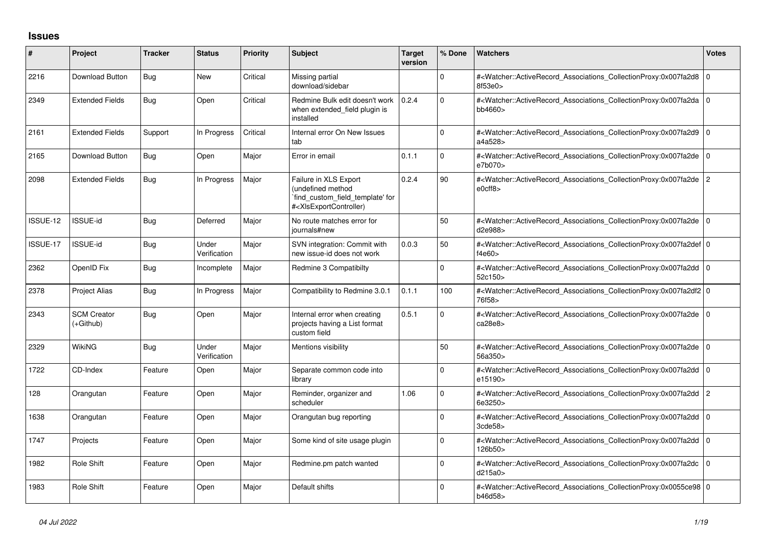## **Issues**

| ∦        | Project                         | <b>Tracker</b> | <b>Status</b>         | Priority | <b>Subject</b>                                                                                                                                                                                                                                                                              | Target<br>version | % Done   | <b>Watchers</b>                                                                                                                                      | <b>Votes</b>   |
|----------|---------------------------------|----------------|-----------------------|----------|---------------------------------------------------------------------------------------------------------------------------------------------------------------------------------------------------------------------------------------------------------------------------------------------|-------------------|----------|------------------------------------------------------------------------------------------------------------------------------------------------------|----------------|
| 2216     | Download Button                 | Bug            | <b>New</b>            | Critical | Missing partial<br>download/sidebar                                                                                                                                                                                                                                                         |                   | 0        | # <watcher::activerecord_associations_collectionproxy:0x007fa2d8<br>8f53e0</watcher::activerecord_associations_collectionproxy:0x007fa2d8<br>        | 0              |
| 2349     | <b>Extended Fields</b>          | Bug            | Open                  | Critical | Redmine Bulk edit doesn't work<br>when extended field plugin is<br>installed                                                                                                                                                                                                                | 0.2.4             | $\Omega$ | # <watcher::activerecord associations="" collectionproxy:0x007fa2da<br="">bb4660&gt;</watcher::activerecord>                                         | l O            |
| 2161     | <b>Extended Fields</b>          | Support        | In Progress           | Critical | Internal error On New Issues<br>tab                                                                                                                                                                                                                                                         |                   | $\Omega$ | # <watcher::activerecord_associations_collectionproxy:0x007fa2d9<br>a4a528&gt;</watcher::activerecord_associations_collectionproxy:0x007fa2d9<br>    | $\overline{0}$ |
| 2165     | Download Button                 | Bug            | Open                  | Major    | Error in email                                                                                                                                                                                                                                                                              | 0.1.1             | $\Omega$ | # <watcher::activerecord_associations_collectionproxy:0x007fa2de 0<br="">e7b070&gt;</watcher::activerecord_associations_collectionproxy:0x007fa2de>  |                |
| 2098     | <b>Extended Fields</b>          | Bug            | In Progress           | Major    | Failure in XLS Export<br>(undefined method<br>find custom field template' for<br># <xisexportcontroller)< td=""><td>0.2.4</td><td>90</td><td>#<watcher::activerecord associations="" collectionproxy:0x007fa2de<br="">e0cff8</watcher::activerecord></td><td>2</td></xisexportcontroller)<> | 0.2.4             | 90       | # <watcher::activerecord associations="" collectionproxy:0x007fa2de<br="">e0cff8</watcher::activerecord>                                             | 2              |
| ISSUE-12 | <b>ISSUE-id</b>                 | Bug            | Deferred              | Major    | No route matches error for<br>iournals#new                                                                                                                                                                                                                                                  |                   | 50       | # <watcher::activerecord associations="" collectionproxy:0x007fa2de<br="">d2e988&gt;</watcher::activerecord>                                         | 10             |
| ISSUE-17 | ISSUE-id                        | Bug            | Under<br>Verification | Major    | SVN integration: Commit with<br>new issue-id does not work                                                                                                                                                                                                                                  | 0.0.3             | 50       | # <watcher::activerecord 0<br="" associations="" collectionproxy:0x007fa2def=""  ="">f4e60&gt;</watcher::activerecord>                               |                |
| 2362     | OpenID Fix                      | <b>Bug</b>     | Incomplete            | Major    | Redmine 3 Compatibilty                                                                                                                                                                                                                                                                      |                   | 0        | # <watcher::activerecord 0<br="" associations="" collectionproxy:0x007fa2dd=""  ="">52c150&gt;</watcher::activerecord>                               |                |
| 2378     | <b>Project Alias</b>            | Bug            | In Progress           | Major    | Compatibility to Redmine 3.0.1                                                                                                                                                                                                                                                              | 0.1.1             | 100      | # <watcher::activerecord_associations_collectionproxy:0x007fa2df2 0<br="">76f58&gt;</watcher::activerecord_associations_collectionproxy:0x007fa2df2> |                |
| 2343     | <b>SCM Creator</b><br>(+Github) | Bug            | Open                  | Major    | Internal error when creating<br>projects having a List format<br>custom field                                                                                                                                                                                                               | 0.5.1             | $\Omega$ | # <watcher::activerecord_associations_collectionproxy:0x007fa2de 0<br="">ca28e8&gt;</watcher::activerecord_associations_collectionproxy:0x007fa2de>  |                |
| 2329     | <b>WikiNG</b>                   | Bug            | Under<br>Verification | Major    | Mentions visibility                                                                                                                                                                                                                                                                         |                   | 50       | # <watcher::activerecord 0<br="" associations="" collectionproxy:0x007fa2de=""  ="">56a350&gt;</watcher::activerecord>                               |                |
| 1722     | CD-Index                        | Feature        | Open                  | Major    | Separate common code into<br>library                                                                                                                                                                                                                                                        |                   | $\Omega$ | # <watcher::activerecord associations="" collectionproxy:0x007fa2dd<br="">e15190&gt;</watcher::activerecord>                                         | ۱o             |
| 128      | Orangutan                       | Feature        | Open                  | Major    | Reminder, organizer and<br>scheduler                                                                                                                                                                                                                                                        | 1.06              | 0        | # <watcher::activerecord associations="" collectionproxy:0x007fa2dd<br="">6e3250&gt;</watcher::activerecord>                                         | 2              |
| 1638     | Orangutan                       | Feature        | Open                  | Major    | Orangutan bug reporting                                                                                                                                                                                                                                                                     |                   | $\Omega$ | # <watcher::activerecord 0<br="" associations="" collectionproxy:0x007fa2dd=""  ="">3cde58</watcher::activerecord>                                   |                |
| 1747     | Projects                        | Feature        | Open                  | Major    | Some kind of site usage plugin                                                                                                                                                                                                                                                              |                   | $\Omega$ | # <watcher::activerecord_associations_collectionproxy:0x007fa2dd<br>126b50&gt;</watcher::activerecord_associations_collectionproxy:0x007fa2dd<br>    | l O            |
| 1982     | Role Shift                      | Feature        | Open                  | Major    | Redmine.pm patch wanted                                                                                                                                                                                                                                                                     |                   | $\Omega$ | # <watcher::activerecord associations="" collectionproxy:0x007fa2dc<br="">d215a0</watcher::activerecord>                                             | 0 I            |
| 1983     | Role Shift                      | Feature        | Open                  | Major    | Default shifts                                                                                                                                                                                                                                                                              |                   | $\Omega$ | # <watcher::activerecord_associations_collectionproxy:0x0055ce98 0<br="">b46d58&gt;</watcher::activerecord_associations_collectionproxy:0x0055ce98>  |                |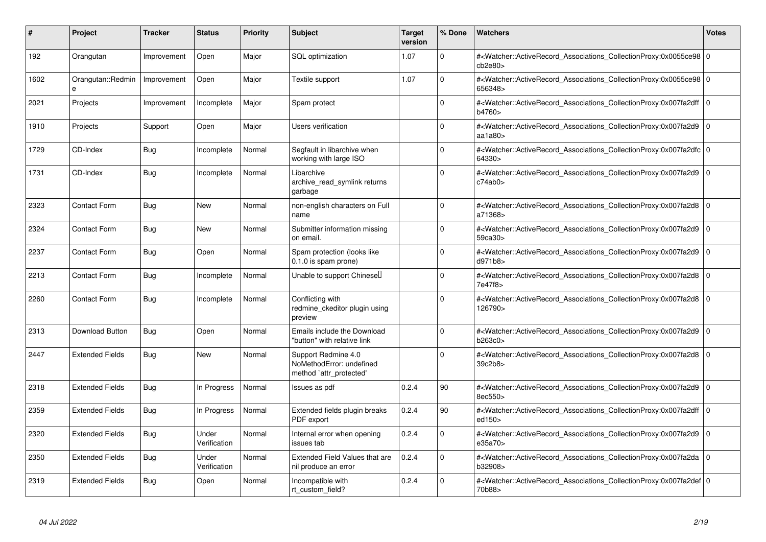| #    | Project                | <b>Tracker</b> | <b>Status</b>         | <b>Priority</b> | <b>Subject</b>                                                             | <b>Target</b><br>version | % Done   | <b>Watchers</b>                                                                                                                                            | <b>Votes</b> |
|------|------------------------|----------------|-----------------------|-----------------|----------------------------------------------------------------------------|--------------------------|----------|------------------------------------------------------------------------------------------------------------------------------------------------------------|--------------|
| 192  | Orangutan              | Improvement    | Open                  | Major           | SQL optimization                                                           | 1.07                     | $\Omega$ | # <watcher::activerecord 0<br="" associations="" collectionproxy:0x0055ce98=""  ="">cb2e80&gt;</watcher::activerecord>                                     |              |
| 1602 | Orangutan::Redmin<br>e | Improvement    | Open                  | Major           | Textile support                                                            | 1.07                     | $\Omega$ | # <watcher::activerecord 0<br="" associations="" collectionproxy:0x0055ce98=""  ="">656348&gt;</watcher::activerecord>                                     |              |
| 2021 | Projects               | Improvement    | Incomplete            | Major           | Spam protect                                                               |                          | $\Omega$ | # <watcher::activerecord 0<br="" associations="" collectionproxy:0x007fa2dff=""  ="">b4760&gt;</watcher::activerecord>                                     |              |
| 1910 | Projects               | Support        | Open                  | Major           | Users verification                                                         |                          | $\Omega$ | # <watcher::activerecord_associations_collectionproxy:0x007fa2d9<br>aa<math>1a80</math></watcher::activerecord_associations_collectionproxy:0x007fa2d9<br> | l o          |
| 1729 | CD-Index               | <b>Bug</b>     | Incomplete            | Normal          | Segfault in libarchive when<br>working with large ISO                      |                          | $\Omega$ | # <watcher::activerecord_associations_collectionproxy:0x007fa2dfc 0<br=""  ="">64330&gt;</watcher::activerecord_associations_collectionproxy:0x007fa2dfc>  |              |
| 1731 | CD-Index               | Bug            | Incomplete            | Normal          | Libarchive<br>archive read symlink returns<br>garbage                      |                          | $\Omega$ | # <watcher::activerecord_associations_collectionproxy:0x007fa2d9<br>c74ab0&gt;</watcher::activerecord_associations_collectionproxy:0x007fa2d9<br>          | l O          |
| 2323 | <b>Contact Form</b>    | Bug            | <b>New</b>            | Normal          | non-english characters on Full<br>name                                     |                          | $\Omega$ | # <watcher::activerecord associations="" collectionproxy:0x007fa2d8<br="">a71368&gt;</watcher::activerecord>                                               | l O          |
| 2324 | <b>Contact Form</b>    | Bug            | New                   | Normal          | Submitter information missing<br>on email.                                 |                          | $\Omega$ | # <watcher::activerecord_associations_collectionproxy:0x007fa2d9<br>59ca30&gt;</watcher::activerecord_associations_collectionproxy:0x007fa2d9<br>          | $\Omega$     |
| 2237 | <b>Contact Form</b>    | <b>Bug</b>     | Open                  | Normal          | Spam protection (looks like<br>$0.1.0$ is spam prone)                      |                          | $\Omega$ | # <watcher::activerecord_associations_collectionproxy:0x007fa2d9<br>d971b8&gt;</watcher::activerecord_associations_collectionproxy:0x007fa2d9<br>          | I٥           |
| 2213 | Contact Form           | <b>Bug</b>     | Incomplete            | Normal          | Unable to support Chinesell                                                |                          | $\Omega$ | # <watcher::activerecord_associations_collectionproxy:0x007fa2d8<br>7e47f8&gt;</watcher::activerecord_associations_collectionproxy:0x007fa2d8<br>          | $\Omega$     |
| 2260 | <b>Contact Form</b>    | Bug            | Incomplete            | Normal          | Conflicting with<br>redmine ckeditor plugin using<br>preview               |                          | $\Omega$ | # <watcher::activerecord_associations_collectionproxy:0x007fa2d8<br>126790&gt;</watcher::activerecord_associations_collectionproxy:0x007fa2d8<br>          | $\Omega$     |
| 2313 | <b>Download Button</b> | Bug            | Open                  | Normal          | Emails include the Download<br>"button" with relative link                 |                          | $\Omega$ | # <watcher::activerecord associations="" collectionproxy:0x007fa2d9<br="">b263c0&gt;</watcher::activerecord>                                               | l O          |
| 2447 | <b>Extended Fields</b> | Bug            | <b>New</b>            | Normal          | Support Redmine 4.0<br>NoMethodError: undefined<br>method `attr_protected' |                          | $\Omega$ | # <watcher::activerecord_associations_collectionproxy:0x007fa2d8<br>39c2b8&gt;</watcher::activerecord_associations_collectionproxy:0x007fa2d8<br>          | $\Omega$     |
| 2318 | <b>Extended Fields</b> | Bug            | In Progress           | Normal          | Issues as pdf                                                              | 0.2.4                    | 90       | # <watcher::activerecord associations="" collectionproxy:0x007fa2d9<br="">8ec550&gt;</watcher::activerecord>                                               | l O          |
| 2359 | <b>Extended Fields</b> | <b>Bug</b>     | In Progress           | Normal          | Extended fields plugin breaks<br>PDF export                                | 0.2.4                    | 90       | # <watcher::activerecord 0<br="" associations="" collectionproxy:0x007fa2dff=""  ="">ed150&gt;</watcher::activerecord>                                     |              |
| 2320 | <b>Extended Fields</b> | Bug            | Under<br>Verification | Normal          | Internal error when opening<br>issues tab                                  | 0.2.4                    | $\Omega$ | # <watcher::activerecord associations="" collectionproxy:0x007fa2d9<br="">e35a70&gt;</watcher::activerecord>                                               | $\Omega$     |
| 2350 | <b>Extended Fields</b> | <b>Bug</b>     | Under<br>Verification | Normal          | <b>Extended Field Values that are</b><br>nil produce an error              | 0.2.4                    | $\Omega$ | # <watcher::activerecord_associations_collectionproxy:0x007fa2da<br>b32908&gt;</watcher::activerecord_associations_collectionproxy:0x007fa2da<br>          | l O          |
| 2319 | <b>Extended Fields</b> | <b>Bug</b>     | Open                  | Normal          | Incompatible with<br>rt custom field?                                      | 0.2.4                    | $\Omega$ | # <watcher::activerecord_associations_collectionproxy:0x007fa2def 0<br=""  ="">70b88&gt;</watcher::activerecord_associations_collectionproxy:0x007fa2def>  |              |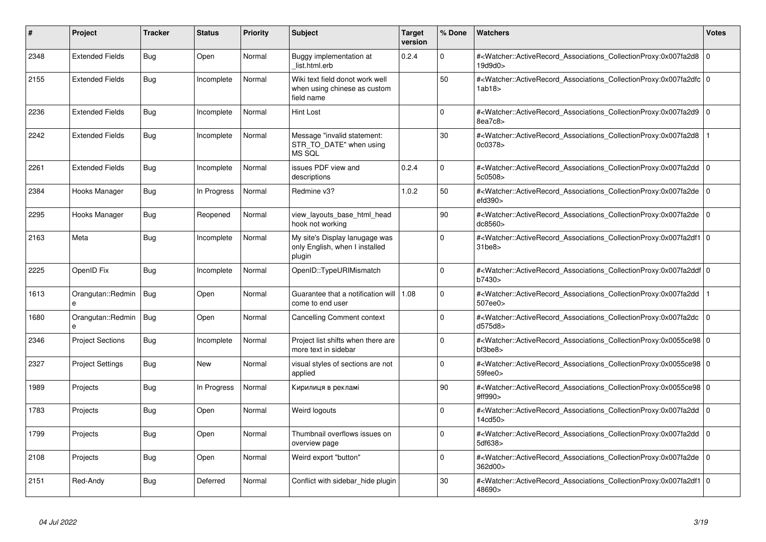| #    | <b>Project</b>          | <b>Tracker</b> | <b>Status</b> | <b>Priority</b> | <b>Subject</b>                                                                | <b>Target</b><br>version | % Done      | <b>Watchers</b>                                                                                                                                                               | <b>Votes</b> |
|------|-------------------------|----------------|---------------|-----------------|-------------------------------------------------------------------------------|--------------------------|-------------|-------------------------------------------------------------------------------------------------------------------------------------------------------------------------------|--------------|
| 2348 | <b>Extended Fields</b>  | Bug            | Open          | Normal          | Buggy implementation at<br>list.html.erb                                      | 0.2.4                    | $\Omega$    | # <watcher::activerecord associations="" collectionproxy:0x007fa2d8<br="">19d9d0&gt;</watcher::activerecord>                                                                  | 0            |
| 2155 | <b>Extended Fields</b>  | <b>Bug</b>     | Incomplete    | Normal          | Wiki text field donot work well<br>when using chinese as custom<br>field name |                          | 50          | # <watcher::activerecord_associations_collectionproxy:0x007fa2dfc 0<br="">1ab18&gt;</watcher::activerecord_associations_collectionproxy:0x007fa2dfc>                          |              |
| 2236 | <b>Extended Fields</b>  | Bug            | Incomplete    | Normal          | Hint Lost                                                                     |                          | $\Omega$    | # <watcher::activerecord 0<br="" associations="" collectionproxy:0x007fa2d9=""  ="">8ea7c8&gt;</watcher::activerecord>                                                        |              |
| 2242 | <b>Extended Fields</b>  | <b>Bug</b>     | Incomplete    | Normal          | Message "invalid statement:<br>STR_TO_DATE" when using<br>MS SQL              |                          | 30          | # <watcher::activerecord_associations_collectionproxy:0x007fa2d8<br>0c0378&gt;</watcher::activerecord_associations_collectionproxy:0x007fa2d8<br>                             |              |
| 2261 | <b>Extended Fields</b>  | Bug            | Incomplete    | Normal          | issues PDF view and<br>descriptions                                           | 0.2.4                    | $\Omega$    | # <watcher::activerecord 0<br="" associations="" collectionproxy:0x007fa2dd=""  ="">5c0508&gt;</watcher::activerecord>                                                        |              |
| 2384 | Hooks Manager           | Bug            | In Progress   | Normal          | Redmine v3?                                                                   | 1.0.2                    | 50          | # <watcher::activerecord_associations_collectionproxy:0x007fa2de 0<br=""><math>e</math>fd390<math>&gt;</math></watcher::activerecord_associations_collectionproxy:0x007fa2de> |              |
| 2295 | Hooks Manager           | <b>Bug</b>     | Reopened      | Normal          | view_layouts_base_html_head<br>hook not working                               |                          | 90          | # <watcher::activerecord_associations_collectionproxy:0x007fa2de 0<br=""  ="">dc8560&gt;</watcher::activerecord_associations_collectionproxy:0x007fa2de>                      |              |
| 2163 | Meta                    | <b>Bug</b>     | Incomplete    | Normal          | My site's Display lanugage was<br>only English, when I installed<br>plugin    |                          | $\Omega$    | # <watcher::activerecord 0<br="" associations="" collectionproxy:0x007fa2df1=""><math>31</math>be<math>8</math></watcher::activerecord>                                       |              |
| 2225 | OpenID Fix              | <b>Bug</b>     | Incomplete    | Normal          | OpenID::TypeURIMismatch                                                       |                          | $\Omega$    | # <watcher::activerecord_associations_collectionproxy:0x007fa2ddf 0<br="">b7430&gt;</watcher::activerecord_associations_collectionproxy:0x007fa2ddf>                          |              |
| 1613 | Orangutan::Redmin<br>e  | Bug            | Open          | Normal          | Guarantee that a notification will   1.08<br>come to end user                 |                          | $\Omega$    | # <watcher::activerecord_associations_collectionproxy:0x007fa2dd<br>507ee0&gt;</watcher::activerecord_associations_collectionproxy:0x007fa2dd<br>                             |              |
| 1680 | Orangutan::Redmin<br>e  | Bug            | Open          | Normal          | Cancelling Comment context                                                    |                          | $\mathbf 0$ | # <watcher::activerecord_associations_collectionproxy:0x007fa2dc<br>d575d8&gt;</watcher::activerecord_associations_collectionproxy:0x007fa2dc<br>                             | l o          |
| 2346 | <b>Project Sections</b> | Bug            | Incomplete    | Normal          | Project list shifts when there are<br>more text in sidebar                    |                          | $\Omega$    | # <watcher::activerecord 0<br="" associations="" collectionproxy:0x0055ce98=""  =""><math>b</math>f3be<math>8</math></watcher::activerecord>                                  |              |
| 2327 | <b>Project Settings</b> | Bug            | New           | Normal          | visual styles of sections are not<br>applied                                  |                          | $\Omega$    | # <watcher::activerecord 0<br="" associations="" collectionproxy:0x0055ce98="">59fee0&gt;</watcher::activerecord>                                                             |              |
| 1989 | Projects                | <b>Bug</b>     | In Progress   | Normal          | Кирилиця в рекламі                                                            |                          | 90          | # <watcher::activerecord_associations_collectionproxy:0x0055ce98 0<br="">9ff990&gt;</watcher::activerecord_associations_collectionproxy:0x0055ce98>                           |              |
| 1783 | Projects                | <b>Bug</b>     | Open          | Normal          | Weird logouts                                                                 |                          | $\Omega$    | # <watcher::activerecord_associations_collectionproxy:0x007fa2dd 0<br=""  ="">14cd50&gt;</watcher::activerecord_associations_collectionproxy:0x007fa2dd>                      |              |
| 1799 | Projects                | <b>Bug</b>     | Open          | Normal          | Thumbnail overflows issues on<br>overview page                                |                          | $\Omega$    | # <watcher::activerecord_associations_collectionproxy:0x007fa2dd<br>5df638&gt;</watcher::activerecord_associations_collectionproxy:0x007fa2dd<br>                             | l o          |
| 2108 | Projects                | <b>Bug</b>     | Open          | Normal          | Weird export "button"                                                         |                          | 0           | # <watcher::activerecord_associations_collectionproxy:0x007fa2de 0<br=""  ="">362d00&gt;</watcher::activerecord_associations_collectionproxy:0x007fa2de>                      |              |
| 2151 | Red-Andy                | Bug            | Deferred      | Normal          | Conflict with sidebar hide plugin                                             |                          | 30          | # <watcher::activerecord 0<br="" associations="" collectionproxy:0x007fa2df1=""  ="">48690&gt;</watcher::activerecord>                                                        |              |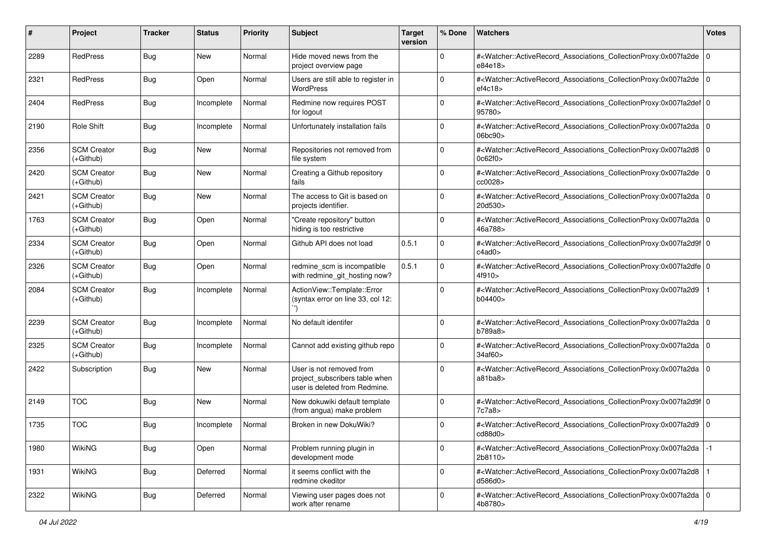| #    | Project                           | <b>Tracker</b> | <b>Status</b> | <b>Priority</b> | <b>Subject</b>                                                                              | <b>Target</b><br>version | % Done      | Watchers                                                                                                                                                  | <b>Votes</b> |
|------|-----------------------------------|----------------|---------------|-----------------|---------------------------------------------------------------------------------------------|--------------------------|-------------|-----------------------------------------------------------------------------------------------------------------------------------------------------------|--------------|
| 2289 | RedPress                          | <b>Bug</b>     | New           | Normal          | Hide moved news from the<br>project overview page                                           |                          | $\mathbf 0$ | # <watcher::activerecord_associations_collectionproxy:0x007fa2de<br>e84e18&gt;</watcher::activerecord_associations_collectionproxy:0x007fa2de<br>         | l O          |
| 2321 | RedPress                          | <b>Bug</b>     | Open          | Normal          | Users are still able to register in<br>WordPress                                            |                          | $\Omega$    | # <watcher::activerecord_associations_collectionproxy:0x007fa2de 0<br="">ef4c18</watcher::activerecord_associations_collectionproxy:0x007fa2de>           |              |
| 2404 | RedPress                          | <b>Bug</b>     | Incomplete    | Normal          | Redmine now requires POST<br>for logout                                                     |                          | 0           | # <watcher::activerecord_associations_collectionproxy:0x007fa2def 0<br=""  ="">95780&gt;</watcher::activerecord_associations_collectionproxy:0x007fa2def> |              |
| 2190 | <b>Role Shift</b>                 | <b>Bug</b>     | Incomplete    | Normal          | Unfortunately installation fails                                                            |                          | 0           | # <watcher::activerecord_associations_collectionproxy:0x007fa2da<br>06bc90&gt;</watcher::activerecord_associations_collectionproxy:0x007fa2da<br>         | l O          |
| 2356 | <b>SCM Creator</b><br>(+Github)   | <b>Bug</b>     | New           | Normal          | Repositories not removed from<br>file system                                                |                          | $\Omega$    | # <watcher::activerecord_associations_collectionproxy:0x007fa2d8<br>0c62f0</watcher::activerecord_associations_collectionproxy:0x007fa2d8<br>             | l O          |
| 2420 | <b>SCM Creator</b><br>(+Github)   | <b>Bug</b>     | New           | Normal          | Creating a Github repository<br>fails                                                       |                          | $\Omega$    | # <watcher::activerecord_associations_collectionproxy:0x007fa2de<br>cc0028&gt;</watcher::activerecord_associations_collectionproxy:0x007fa2de<br>         | l O          |
| 2421 | <b>SCM Creator</b><br>(+Github)   | <b>Bug</b>     | New           | Normal          | The access to Git is based on<br>projects identifier.                                       |                          | $\Omega$    | # <watcher::activerecord_associations_collectionproxy:0x007fa2da<br>20d530&gt;</watcher::activerecord_associations_collectionproxy:0x007fa2da<br>         | l O          |
| 1763 | <b>SCM Creator</b><br>$(+Github)$ | <b>Bug</b>     | Open          | Normal          | "Create repository" button<br>hiding is too restrictive                                     |                          | $\mathbf 0$ | # <watcher::activerecord_associations_collectionproxy:0x007fa2da 0<br=""  ="">46a788&gt;</watcher::activerecord_associations_collectionproxy:0x007fa2da>  |              |
| 2334 | <b>SCM Creator</b><br>(+Github)   | <b>Bug</b>     | Open          | Normal          | Github API does not load                                                                    | 0.5.1                    | $\Omega$    | # <watcher::activerecord_associations_collectionproxy:0x007fa2d9f 0<br="">c4ad0&gt;</watcher::activerecord_associations_collectionproxy:0x007fa2d9f>      |              |
| 2326 | <b>SCM Creator</b><br>(+Github)   | <b>Bug</b>     | Open          | Normal          | redmine_scm is incompatible<br>with redmine_git_hosting now?                                | 0.5.1                    | $\Omega$    | # <watcher::activerecord_associations_collectionproxy:0x007fa2dfe 0<br="">4f910&gt;</watcher::activerecord_associations_collectionproxy:0x007fa2dfe>      |              |
| 2084 | <b>SCM Creator</b><br>(+Github)   | <b>Bug</b>     | Incomplete    | Normal          | ActionView::Template::Error<br>(syntax error on line 33, col 12:                            |                          | $\Omega$    | # <watcher::activerecord_associations_collectionproxy:0x007fa2d9<br>b04400&gt;</watcher::activerecord_associations_collectionproxy:0x007fa2d9<br>         |              |
| 2239 | <b>SCM Creator</b><br>$(+Github)$ | <b>Bug</b>     | Incomplete    | Normal          | No default identifer                                                                        |                          | $\Omega$    | # <watcher::activerecord_associations_collectionproxy:0x007fa2da<br>b789a8&gt;</watcher::activerecord_associations_collectionproxy:0x007fa2da<br>         | l 0          |
| 2325 | <b>SCM Creator</b><br>(+Github)   | <b>Bug</b>     | Incomplete    | Normal          | Cannot add existing github repo                                                             |                          | $\mathbf 0$ | # <watcher::activerecord_associations_collectionproxy:0x007fa2da 0<br=""  ="">34af60&gt;</watcher::activerecord_associations_collectionproxy:0x007fa2da>  |              |
| 2422 | Subscription                      | <b>Bug</b>     | New           | Normal          | User is not removed from<br>project_subscribers table when<br>user is deleted from Redmine. |                          | $\Omega$    | # <watcher::activerecord_associations_collectionproxy:0x007fa2da 0<br="">a81ba8&gt;</watcher::activerecord_associations_collectionproxy:0x007fa2da>       |              |
| 2149 | <b>TOC</b>                        | <b>Bug</b>     | New           | Normal          | New dokuwiki default template<br>(from angua) make problem                                  |                          | 0           | # <watcher::activerecord_associations_collectionproxy:0x007fa2d9f 0<br="">7c7a8&gt;</watcher::activerecord_associations_collectionproxy:0x007fa2d9f>      |              |
| 1735 | <b>TOC</b>                        | <b>Bug</b>     | Incomplete    | Normal          | Broken in new DokuWiki?                                                                     |                          | $\Omega$    | # <watcher::activerecord_associations_collectionproxy:0x007fa2d9 0<br="">cd88d0&gt;</watcher::activerecord_associations_collectionproxy:0x007fa2d9>       |              |
| 1980 | WikiNG                            | Bug            | Open          | Normal          | Problem running plugin in<br>development mode                                               |                          | $\mathbf 0$ | # <watcher::activerecord_associations_collectionproxy:0x007fa2da<br>2b8110&gt;</watcher::activerecord_associations_collectionproxy:0x007fa2da<br>         | $-1$         |
| 1931 | WikiNG                            | Bug            | Deferred      | Normal          | it seems conflict with the<br>redmine ckeditor                                              |                          | $\mathbf 0$ | # <watcher::activerecord_associations_collectionproxy:0x007fa2d8<br>d586d0&gt;</watcher::activerecord_associations_collectionproxy:0x007fa2d8<br>         |              |
| 2322 | WikiNG                            | <b>Bug</b>     | Deferred      | Normal          | Viewing user pages does not<br>work after rename                                            |                          | $\mathbf 0$ | # <watcher::activerecord_associations_collectionproxy:0x007fa2da 0<br="">4b8780&gt;</watcher::activerecord_associations_collectionproxy:0x007fa2da>       |              |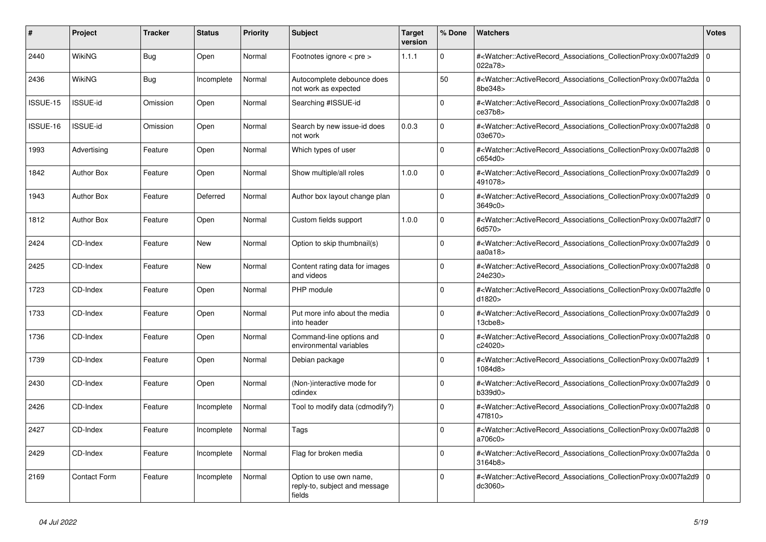| #        | Project             | <b>Tracker</b> | <b>Status</b> | <b>Priority</b> | <b>Subject</b>                                                     | Target<br>version | % Done      | <b>Watchers</b>                                                                                                                                                       | <b>Votes</b>   |
|----------|---------------------|----------------|---------------|-----------------|--------------------------------------------------------------------|-------------------|-------------|-----------------------------------------------------------------------------------------------------------------------------------------------------------------------|----------------|
| 2440     | WikiNG              | <b>Bug</b>     | Open          | Normal          | Footnotes ignore $\lt$ pre $\gt$                                   | 1.1.1             | $\Omega$    | # <watcher::activerecord_associations_collectionproxy:0x007fa2d9<br>022a78&gt;</watcher::activerecord_associations_collectionproxy:0x007fa2d9<br>                     | l o            |
| 2436     | <b>WikiNG</b>       | Bug            | Incomplete    | Normal          | Autocomplete debounce does<br>not work as expected                 |                   | 50          | # <watcher::activerecord_associations_collectionproxy:0x007fa2da 0<br=""  ="">8be348&gt;</watcher::activerecord_associations_collectionproxy:0x007fa2da>              |                |
| ISSUE-15 | ISSUE-id            | Omission       | Open          | Normal          | Searching #ISSUE-id                                                |                   | $\Omega$    | # <watcher::activerecord_associations_collectionproxy:0x007fa2d8 0<br=""  ="">ce37b8</watcher::activerecord_associations_collectionproxy:0x007fa2d8>                  |                |
| ISSUE-16 | <b>ISSUE-id</b>     | Omission       | Open          | Normal          | Search by new issue-id does<br>not work                            | 0.0.3             | $\Omega$    | # <watcher::activerecord 0<br="" associations="" collectionproxy:0x007fa2d8=""  ="">03e670&gt;</watcher::activerecord>                                                |                |
| 1993     | Advertising         | Feature        | Open          | Normal          | Which types of user                                                |                   | $\mathbf 0$ | # <watcher::activerecord associations="" collectionproxy:0x007fa2d8<br="">c654d0&gt;</watcher::activerecord>                                                          | 0 I            |
| 1842     | <b>Author Box</b>   | Feature        | Open          | Normal          | Show multiple/all roles                                            | 1.0.0             | $\Omega$    | # <watcher::activerecord_associations_collectionproxy:0x007fa2d9 0<br=""  ="">491078&gt;</watcher::activerecord_associations_collectionproxy:0x007fa2d9>              |                |
| 1943     | <b>Author Box</b>   | Feature        | Deferred      | Normal          | Author box layout change plan                                      |                   | $\Omega$    | # <watcher::activerecord_associations_collectionproxy:0x007fa2d9<br>3649c0&gt;</watcher::activerecord_associations_collectionproxy:0x007fa2d9<br>                     | $\overline{0}$ |
| 1812     | <b>Author Box</b>   | Feature        | Open          | Normal          | Custom fields support                                              | 1.0.0             | $\Omega$    | # <watcher::activerecord_associations_collectionproxy:0x007fa2df7 0<br=""  ="">6d570&gt;</watcher::activerecord_associations_collectionproxy:0x007fa2df7>             |                |
| 2424     | CD-Index            | Feature        | <b>New</b>    | Normal          | Option to skip thumbnail(s)                                        |                   | $\Omega$    | # <watcher::activerecord_associations_collectionproxy:0x007fa2d9 0<br=""  ="">aa0a18<math>&gt;</math></watcher::activerecord_associations_collectionproxy:0x007fa2d9> |                |
| 2425     | CD-Index            | Feature        | <b>New</b>    | Normal          | Content rating data for images<br>and videos                       |                   | $\Omega$    | # <watcher::activerecord associations="" collectionproxy:0x007fa2d8<br="">24e230&gt;</watcher::activerecord>                                                          | 0 I            |
| 1723     | CD-Index            | Feature        | Open          | Normal          | PHP module                                                         |                   | $\mathbf 0$ | # <watcher::activerecord_associations_collectionproxy:0x007fa2dfe 0<br=""  ="">d1820&gt;</watcher::activerecord_associations_collectionproxy:0x007fa2dfe>             |                |
| 1733     | CD-Index            | Feature        | Open          | Normal          | Put more info about the media<br>into header                       |                   | $\Omega$    | # <watcher::activerecord_associations_collectionproxy:0x007fa2d9 0<br=""  ="">13<sub>che8</sub></watcher::activerecord_associations_collectionproxy:0x007fa2d9>       |                |
| 1736     | CD-Index            | Feature        | Open          | Normal          | Command-line options and<br>environmental variables                |                   | $\Omega$    | # <watcher::activerecord associations="" collectionproxy:0x007fa2d8<br="">c24020&gt;</watcher::activerecord>                                                          | l 0            |
| 1739     | CD-Index            | Feature        | Open          | Normal          | Debian package                                                     |                   | $\Omega$    | # <watcher::activerecord associations="" collectionproxy:0x007fa2d9<br="">1084d8&gt;</watcher::activerecord>                                                          |                |
| 2430     | CD-Index            | Feature        | Open          | Normal          | (Non-)interactive mode for<br>cdindex                              |                   | $\Omega$    | # <watcher::activerecord_associations_collectionproxy:0x007fa2d9 0<br=""  ="">b339d0&gt;</watcher::activerecord_associations_collectionproxy:0x007fa2d9>              |                |
| 2426     | CD-Index            | Feature        | Incomplete    | Normal          | Tool to modify data (cdmodify?)                                    |                   | $\Omega$    | # <watcher::activerecord_associations_collectionproxy:0x007fa2d8<br>47f810&gt;</watcher::activerecord_associations_collectionproxy:0x007fa2d8<br>                     | $\mathbf 0$    |
| 2427     | CD-Index            | Feature        | Incomplete    | Normal          | Tags                                                               |                   | $\Omega$    | # <watcher::activerecord_associations_collectionproxy:0x007fa2d8<br>a706c0&gt;</watcher::activerecord_associations_collectionproxy:0x007fa2d8<br>                     | ١o             |
| 2429     | CD-Index            | Feature        | Incomplete    | Normal          | Flag for broken media                                              |                   | $\Omega$    | # <watcher::activerecord_associations_collectionproxy:0x007fa2da 0<br="">3164b8</watcher::activerecord_associations_collectionproxy:0x007fa2da>                       |                |
| 2169     | <b>Contact Form</b> | Feature        | Incomplete    | Normal          | Option to use own name,<br>reply-to, subject and message<br>fields |                   | $\Omega$    | # <watcher::activerecord associations="" collectionproxy:0x007fa2d9<br="">dc3060&gt;</watcher::activerecord>                                                          | l 0            |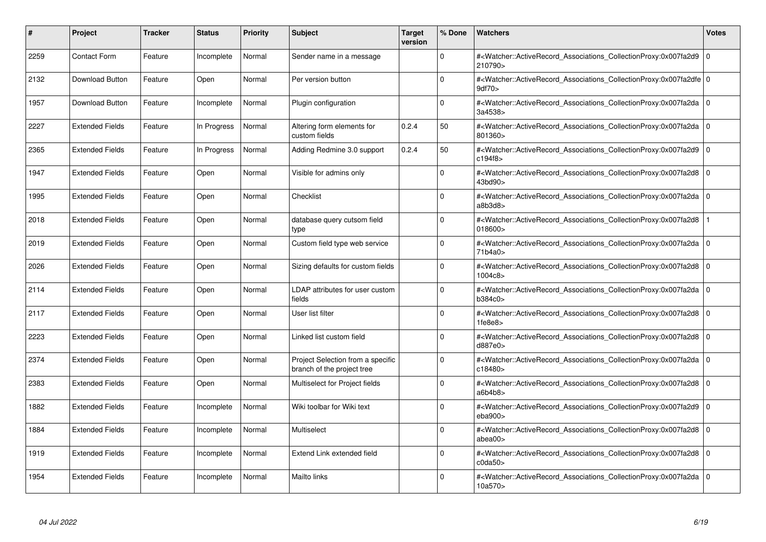| #    | Project                | <b>Tracker</b> | <b>Status</b> | <b>Priority</b> | <b>Subject</b>                                                  | <b>Target</b><br>version | % Done      | <b>Watchers</b>                                                                                                                                           | <b>Votes</b> |
|------|------------------------|----------------|---------------|-----------------|-----------------------------------------------------------------|--------------------------|-------------|-----------------------------------------------------------------------------------------------------------------------------------------------------------|--------------|
| 2259 | <b>Contact Form</b>    | Feature        | Incomplete    | Normal          | Sender name in a message                                        |                          | $\Omega$    | # <watcher::activerecord associations="" collectionproxy:0x007fa2d9<br="">210790&gt;</watcher::activerecord>                                              | $\mathbf 0$  |
| 2132 | Download Button        | Feature        | Open          | Normal          | Per version button                                              |                          | $\Omega$    | # <watcher::activerecord_associations_collectionproxy:0x007fa2dfe 0<br=""  ="">9df70&gt;</watcher::activerecord_associations_collectionproxy:0x007fa2dfe> |              |
| 1957 | <b>Download Button</b> | Feature        | Incomplete    | Normal          | Plugin configuration                                            |                          | $\Omega$    | # <watcher::activerecord_associations_collectionproxy:0x007fa2da 0<br=""  ="">3a4538&gt;</watcher::activerecord_associations_collectionproxy:0x007fa2da>  |              |
| 2227 | <b>Extended Fields</b> | Feature        | In Progress   | Normal          | Altering form elements for<br>custom fields                     | 0.2.4                    | 50          | # <watcher::activerecord 0<br="" associations="" collectionproxy:0x007fa2da=""  ="">801360&gt;</watcher::activerecord>                                    |              |
| 2365 | <b>Extended Fields</b> | Feature        | In Progress   | Normal          | Adding Redmine 3.0 support                                      | 0.2.4                    | 50          | # <watcher::activerecord_associations_collectionproxy:0x007fa2d9  <br="">c194f8&gt;</watcher::activerecord_associations_collectionproxy:0x007fa2d9>       | $\mathbf 0$  |
| 1947 | <b>Extended Fields</b> | Feature        | Open          | Normal          | Visible for admins only                                         |                          | $\Omega$    | # <watcher::activerecord associations="" collectionproxy:0x007fa2d8<br="">43bd90&gt;</watcher::activerecord>                                              | $\Omega$     |
| 1995 | <b>Extended Fields</b> | Feature        | Open          | Normal          | Checklist                                                       |                          | $\Omega$    | # <watcher::activerecord_associations_collectionproxy:0x007fa2da 0<br=""  ="">a8b3d8</watcher::activerecord_associations_collectionproxy:0x007fa2da>      |              |
| 2018 | <b>Extended Fields</b> | Feature        | Open          | Normal          | database query cutsom field<br>type                             |                          | $\Omega$    | # <watcher::activerecord associations="" collectionproxy:0x007fa2d8<br="">018600&gt;</watcher::activerecord>                                              |              |
| 2019 | <b>Extended Fields</b> | Feature        | Open          | Normal          | Custom field type web service                                   |                          | $\Omega$    | # <watcher::activerecord_associations_collectionproxy:0x007fa2da 0<br=""  ="">71b4a0&gt;</watcher::activerecord_associations_collectionproxy:0x007fa2da>  |              |
| 2026 | <b>Extended Fields</b> | Feature        | Open          | Normal          | Sizing defaults for custom fields                               |                          | $\Omega$    | # <watcher::activerecord_associations_collectionproxy:0x007fa2d8 0<br=""  ="">1004c8&gt;</watcher::activerecord_associations_collectionproxy:0x007fa2d8>  |              |
| 2114 | <b>Extended Fields</b> | Feature        | Open          | Normal          | LDAP attributes for user custom<br>fields                       |                          | $\Omega$    | # <watcher::activerecord 0<br="" associations="" collectionproxy:0x007fa2da=""  ="">b384c0&gt;</watcher::activerecord>                                    |              |
| 2117 | <b>Extended Fields</b> | Feature        | Open          | Normal          | User list filter                                                |                          | $\Omega$    | # <watcher::activerecord_associations_collectionproxy:0x007fa2d8 0<br=""  ="">1fe8e8</watcher::activerecord_associations_collectionproxy:0x007fa2d8>      |              |
| 2223 | <b>Extended Fields</b> | Feature        | Open          | Normal          | Linked list custom field                                        |                          | $\Omega$    | # <watcher::activerecord 0<br="" associations="" collectionproxy:0x007fa2d8=""  ="">d887e0&gt;</watcher::activerecord>                                    |              |
| 2374 | <b>Extended Fields</b> | Feature        | Open          | Normal          | Project Selection from a specific<br>branch of the project tree |                          | $\mathbf 0$ | # <watcher::activerecord_associations_collectionproxy:0x007fa2da 0<br=""  ="">c18480&gt;</watcher::activerecord_associations_collectionproxy:0x007fa2da>  |              |
| 2383 | <b>Extended Fields</b> | Feature        | Open          | Normal          | Multiselect for Project fields                                  |                          | $\Omega$    | # <watcher::activerecord_associations_collectionproxy:0x007fa2d8 0<br=""  ="">a6b4b8</watcher::activerecord_associations_collectionproxy:0x007fa2d8>      |              |
| 1882 | <b>Extended Fields</b> | Feature        | Incomplete    | Normal          | Wiki toolbar for Wiki text                                      |                          | $\Omega$    | # <watcher::activerecord associations="" collectionproxy:0x007fa2d9<br="">eba900&gt;</watcher::activerecord>                                              | $\mathbf 0$  |
| 1884 | <b>Extended Fields</b> | Feature        | Incomplete    | Normal          | Multiselect                                                     |                          | $\Omega$    | # <watcher::activerecord 0<br="" associations="" collectionproxy:0x007fa2d8=""  ="">abea00&gt;</watcher::activerecord>                                    |              |
| 1919 | <b>Extended Fields</b> | Feature        | Incomplete    | Normal          | Extend Link extended field                                      |                          | $\Omega$    | # <watcher::activerecord associations="" collectionproxy:0x007fa2d8=""  <br="">cda50</watcher::activerecord>                                              | $\mathbf 0$  |
| 1954 | <b>Extended Fields</b> | Feature        | Incomplete    | Normal          | Mailto links                                                    |                          | $\Omega$    | # <watcher::activerecord_associations_collectionproxy:0x007fa2da 0<br=""  ="">10a570&gt;</watcher::activerecord_associations_collectionproxy:0x007fa2da>  |              |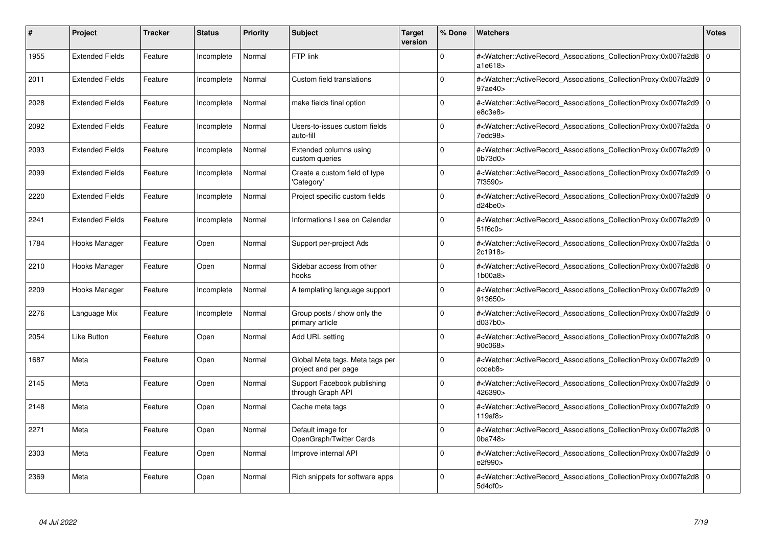| #    | Project                | <b>Tracker</b> | <b>Status</b> | <b>Priority</b> | <b>Subject</b>                                          | <b>Target</b><br>version | % Done      | <b>Watchers</b>                                                                                                                                          | <b>Votes</b> |
|------|------------------------|----------------|---------------|-----------------|---------------------------------------------------------|--------------------------|-------------|----------------------------------------------------------------------------------------------------------------------------------------------------------|--------------|
| 1955 | <b>Extended Fields</b> | Feature        | Incomplete    | Normal          | FTP link                                                |                          | $\Omega$    | # <watcher::activerecord associations="" collectionproxy:0x007fa2d8<br="">a1e618&gt;</watcher::activerecord>                                             | $\mathbf 0$  |
| 2011 | <b>Extended Fields</b> | Feature        | Incomplete    | Normal          | Custom field translations                               |                          | $\mathbf 0$ | # <watcher::activerecord_associations_collectionproxy:0x007fa2d9 0<br=""  ="">97ae40&gt;</watcher::activerecord_associations_collectionproxy:0x007fa2d9> |              |
| 2028 | <b>Extended Fields</b> | Feature        | Incomplete    | Normal          | make fields final option                                |                          | $\Omega$    | # <watcher::activerecord associations="" collectionproxy:0x007fa2d9<br="">e8c3e8</watcher::activerecord>                                                 | $\Omega$     |
| 2092 | <b>Extended Fields</b> | Feature        | Incomplete    | Normal          | Users-to-issues custom fields<br>auto-fill              |                          | $\Omega$    | # <watcher::activerecord 0<br="" associations="" collectionproxy:0x007fa2da=""  =""><math>7</math>edc<math>98</math></watcher::activerecord>             |              |
| 2093 | <b>Extended Fields</b> | Feature        | Incomplete    | Normal          | Extended columns using<br>custom queries                |                          | $\Omega$    | # <watcher::activerecord associations="" collectionproxy:0x007fa2d9<br="">0<sub>b73d0</sub></watcher::activerecord>                                      | l 0          |
| 2099 | <b>Extended Fields</b> | Feature        | Incomplete    | Normal          | Create a custom field of type<br>'Category'             |                          | $\Omega$    | # <watcher::activerecord 0<br="" associations="" collectionproxy:0x007fa2d9=""  ="">7f3590&gt;</watcher::activerecord>                                   |              |
| 2220 | <b>Extended Fields</b> | Feature        | Incomplete    | Normal          | Project specific custom fields                          |                          | $\Omega$    | # <watcher::activerecord_associations_collectionproxy:0x007fa2d9<br>d24be0</watcher::activerecord_associations_collectionproxy:0x007fa2d9<br>            | 0            |
| 2241 | <b>Extended Fields</b> | Feature        | Incomplete    | Normal          | Informations I see on Calendar                          |                          | $\Omega$    | # <watcher::activerecord_associations_collectionproxy:0x007fa2d9 0<br="">51f6c0</watcher::activerecord_associations_collectionproxy:0x007fa2d9>          |              |
| 1784 | Hooks Manager          | Feature        | Open          | Normal          | Support per-project Ads                                 |                          | $\Omega$    | # <watcher::activerecord_associations_collectionproxy:0x007fa2da 0<br=""  ="">2c1918&gt;</watcher::activerecord_associations_collectionproxy:0x007fa2da> |              |
| 2210 | Hooks Manager          | Feature        | Open          | Normal          | Sidebar access from other<br>hooks                      |                          | $\Omega$    | # <watcher::activerecord_associations_collectionproxy:0x007fa2d8 0<br=""  ="">1b00a8</watcher::activerecord_associations_collectionproxy:0x007fa2d8>     |              |
| 2209 | Hooks Manager          | Feature        | Incomplete    | Normal          | A templating language support                           |                          | $\mathbf 0$ | # <watcher::activerecord 0<br="" associations="" collectionproxy:0x007fa2d9=""  ="">913650&gt;</watcher::activerecord>                                   |              |
| 2276 | Language Mix           | Feature        | Incomplete    | Normal          | Group posts / show only the<br>primary article          |                          | $\Omega$    | # <watcher::activerecord_associations_collectionproxy:0x007fa2d9 0<br="">d037b0&gt;</watcher::activerecord_associations_collectionproxy:0x007fa2d9>      |              |
| 2054 | <b>Like Button</b>     | Feature        | Open          | Normal          | Add URL setting                                         |                          | $\Omega$    | # <watcher::activerecord 0<br="" associations="" collectionproxy:0x007fa2d8=""  ="">90c068&gt;</watcher::activerecord>                                   |              |
| 1687 | Meta                   | Feature        | Open          | Normal          | Global Meta tags, Meta tags per<br>project and per page |                          | $\mathbf 0$ | # <watcher::activerecord_associations_collectionproxy:0x007fa2d9 0<br=""  ="">cceb8</watcher::activerecord_associations_collectionproxy:0x007fa2d9>      |              |
| 2145 | Meta                   | Feature        | Open          | Normal          | Support Facebook publishing<br>through Graph API        |                          | $\Omega$    | # <watcher::activerecord_associations_collectionproxy:0x007fa2d9 0<br=""  ="">426390&gt;</watcher::activerecord_associations_collectionproxy:0x007fa2d9> |              |
| 2148 | Meta                   | Feature        | Open          | Normal          | Cache meta tags                                         |                          | $\Omega$    | # <watcher::activerecord 0<br="" associations="" collectionproxy:0x007fa2d9=""  ="">119af8</watcher::activerecord>                                       |              |
| 2271 | Meta                   | Feature        | Open          | Normal          | Default image for<br>OpenGraph/Twitter Cards            |                          | $\Omega$    | # <watcher::activerecord 0<br="" associations="" collectionproxy:0x007fa2d8=""  ="">0ba748&gt;</watcher::activerecord>                                   |              |
| 2303 | Meta                   | Feature        | Open          | Normal          | Improve internal API                                    |                          | $\mathbf 0$ | # <watcher::activerecord 0<br="" associations="" collectionproxy:0x007fa2d9=""  ="">e2f990&gt;</watcher::activerecord>                                   |              |
| 2369 | Meta                   | Feature        | Open          | Normal          | Rich snippets for software apps                         |                          | $\Omega$    | # <watcher::activerecord 0<br="" associations="" collectionproxy:0x007fa2d8=""  ="">5d4df0</watcher::activerecord>                                       |              |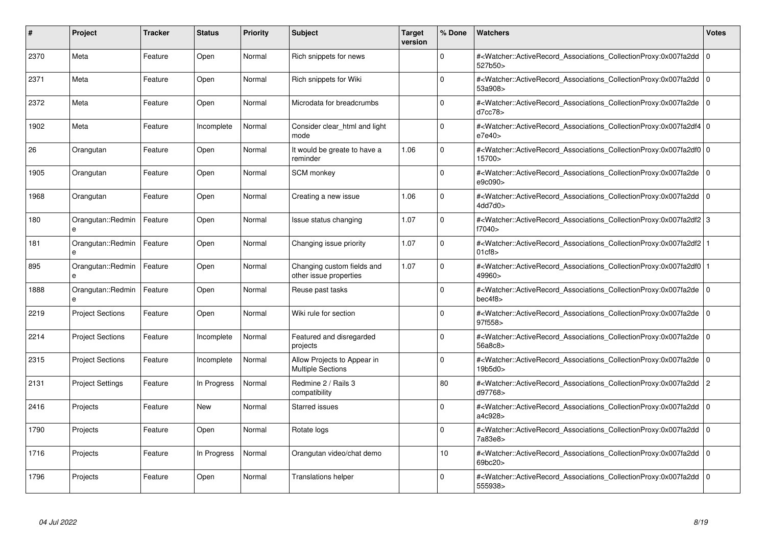| #    | Project                 | <b>Tracker</b> | <b>Status</b> | <b>Priority</b> | <b>Subject</b>                                          | <b>Target</b><br>version | % Done      | <b>Watchers</b>                                                                                                                                                  | <b>Votes</b>   |
|------|-------------------------|----------------|---------------|-----------------|---------------------------------------------------------|--------------------------|-------------|------------------------------------------------------------------------------------------------------------------------------------------------------------------|----------------|
| 2370 | Meta                    | Feature        | Open          | Normal          | Rich snippets for news                                  |                          | $\Omega$    | # <watcher::activerecord associations="" collectionproxy:0x007fa2dd<br="">527b50&gt;</watcher::activerecord>                                                     | $\mathbf 0$    |
| 2371 | Meta                    | Feature        | Open          | Normal          | Rich snippets for Wiki                                  |                          | $\Omega$    | # <watcher::activerecord_associations_collectionproxy:0x007fa2dd  <br="">53a908&gt;</watcher::activerecord_associations_collectionproxy:0x007fa2dd>              | $\mathbf 0$    |
| 2372 | Meta                    | Feature        | Open          | Normal          | Microdata for breadcrumbs                               |                          | $\Omega$    | # <watcher::activerecord associations="" collectionproxy:0x007fa2de<br="">d7cc78</watcher::activerecord>                                                         | $\mathbf 0$    |
| 1902 | Meta                    | Feature        | Incomplete    | Normal          | Consider clear html and light<br>mode                   |                          | $\Omega$    | # <watcher::activerecord 0<br="" associations="" collectionproxy:0x007fa2df4=""  ="">e7e40</watcher::activerecord>                                               |                |
| 26   | Orangutan               | Feature        | Open          | Normal          | It would be greate to have a<br>reminder                | 1.06                     | $\Omega$    | # <watcher::activerecord_associations_collectionproxy:0x007fa2df0 0<br=""  ="">15700&gt;</watcher::activerecord_associations_collectionproxy:0x007fa2df0>        |                |
| 1905 | Orangutan               | Feature        | Open          | Normal          | <b>SCM</b> monkey                                       |                          | $\Omega$    | # <watcher::activerecord 0<br="" associations="" collectionproxy:0x007fa2de=""  ="">e9c090&gt;</watcher::activerecord>                                           |                |
| 1968 | Orangutan               | Feature        | Open          | Normal          | Creating a new issue                                    | 1.06                     | $\Omega$    | # <watcher::activerecord_associations_collectionproxy:0x007fa2dd 0<br=""  ="">4dd7d0&gt;</watcher::activerecord_associations_collectionproxy:0x007fa2dd>         |                |
| 180  | Orangutan::Redmin<br>e  | Feature        | Open          | Normal          | Issue status changing                                   | 1.07                     | $\Omega$    | # <watcher::activerecord 3<br="" associations="" collectionproxy:0x007fa2df2="">f7040 &gt;</watcher::activerecord>                                               |                |
| 181  | Orangutan::Redmin<br>e  | Feature        | Open          | Normal          | Changing issue priority                                 | 1.07                     | $\Omega$    | # <watcher::activerecord_associations_collectionproxy:0x007fa2df2 1<br=""  ="">01<sub>cf8</sub></watcher::activerecord_associations_collectionproxy:0x007fa2df2> |                |
| 895  | Orangutan::Redmin<br>e  | Feature        | Open          | Normal          | Changing custom fields and<br>other issue properties    | 1.07                     | $\Omega$    | # <watcher::activerecord_associations_collectionproxy:0x007fa2df0 1<br=""  ="">49960&gt;</watcher::activerecord_associations_collectionproxy:0x007fa2df0>        |                |
| 1888 | Orangutan::Redmin<br>e  | Feature        | Open          | Normal          | Reuse past tasks                                        |                          | $\Omega$    | # <watcher::activerecord 0<br="" associations="" collectionproxy:0x007fa2de=""  ="">bec4f8</watcher::activerecord>                                               |                |
| 2219 | <b>Project Sections</b> | Feature        | Open          | Normal          | Wiki rule for section                                   |                          | $\Omega$    | # <watcher::activerecord_associations_collectionproxy:0x007fa2de 0<br=""  ="">97f558&gt;</watcher::activerecord_associations_collectionproxy:0x007fa2de>         |                |
| 2214 | <b>Project Sections</b> | Feature        | Incomplete    | Normal          | Featured and disregarded<br>projects                    |                          | $\Omega$    | # <watcher::activerecord 0<br="" associations="" collectionproxy:0x007fa2de=""  ="">56a8c8&gt;</watcher::activerecord>                                           |                |
| 2315 | <b>Project Sections</b> | Feature        | Incomplete    | Normal          | Allow Projects to Appear in<br><b>Multiple Sections</b> |                          | $\mathbf 0$ | # <watcher::activerecord_associations_collectionproxy:0x007fa2de 0<br=""  ="">19b5d0&gt;</watcher::activerecord_associations_collectionproxy:0x007fa2de>         |                |
| 2131 | <b>Project Settings</b> | Feature        | In Progress   | Normal          | Redmine 2 / Rails 3<br>compatibility                    |                          | 80          | # <watcher::activerecord_associations_collectionproxy:0x007fa2dd<br>d97768&gt;</watcher::activerecord_associations_collectionproxy:0x007fa2dd<br>                | $\overline{c}$ |
| 2416 | Projects                | Feature        | New           | Normal          | Starred issues                                          |                          | $\Omega$    | # <watcher::activerecord 0<br="" associations="" collectionproxy:0x007fa2dd=""  ="">a4c928&gt;</watcher::activerecord>                                           |                |
| 1790 | Projects                | Feature        | Open          | Normal          | Rotate logs                                             |                          | $\Omega$    | # <watcher::activerecord_associations_collectionproxy:0x007fa2dd  <br="">7a83e8&gt;</watcher::activerecord_associations_collectionproxy:0x007fa2dd>              | $\Omega$       |
| 1716 | Projects                | Feature        | In Progress   | Normal          | Orangutan video/chat demo                               |                          | 10          | # <watcher::activerecord associations="" collectionproxy:0x007fa2dd=""  <br="">69bc20&gt;</watcher::activerecord>                                                | $\mathbf 0$    |
| 1796 | Projects                | Feature        | Open          | Normal          | Translations helper                                     |                          | $\Omega$    | # <watcher::activerecord_associations_collectionproxy:0x007fa2dd 0<br=""  ="">555938&gt;</watcher::activerecord_associations_collectionproxy:0x007fa2dd>         |                |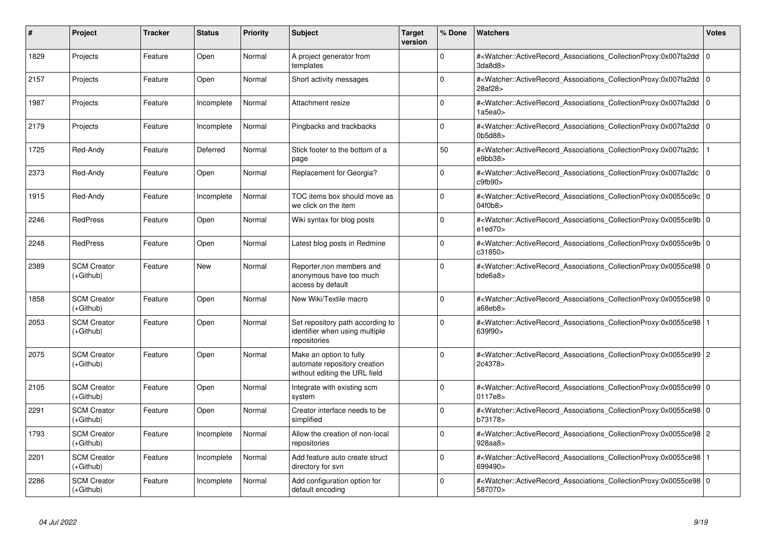| #    | Project                           | <b>Tracker</b> | <b>Status</b> | <b>Priority</b> | <b>Subject</b>                                                                           | <b>Target</b><br>version | % Done   | <b>Watchers</b>                                                                                                                                          | Votes       |
|------|-----------------------------------|----------------|---------------|-----------------|------------------------------------------------------------------------------------------|--------------------------|----------|----------------------------------------------------------------------------------------------------------------------------------------------------------|-------------|
| 1829 | Projects                          | Feature        | Open          | Normal          | A project generator from<br>templates                                                    |                          | $\Omega$ | # <watcher::activerecord associations="" collectionproxy:0x007fa2dd<br="">3da8d8</watcher::activerecord>                                                 | $\mathbf 0$ |
| 2157 | Projects                          | Feature        | Open          | Normal          | Short activity messages                                                                  |                          | $\Omega$ | # <watcher::activerecord_associations_collectionproxy:0x007fa2dd<br>28af28&gt;</watcher::activerecord_associations_collectionproxy:0x007fa2dd<br>        | l O         |
| 1987 | Projects                          | Feature        | Incomplete    | Normal          | Attachment resize                                                                        |                          | $\Omega$ | # <watcher::activerecord_associations_collectionproxy:0x007fa2dd<br>1a5ea0&gt;</watcher::activerecord_associations_collectionproxy:0x007fa2dd<br>        | l o         |
| 2179 | Projects                          | Feature        | Incomplete    | Normal          | Pingbacks and trackbacks                                                                 |                          | $\Omega$ | # <watcher::activerecord_associations_collectionproxy:0x007fa2dd 0<br=""  ="">0b5d88&gt;</watcher::activerecord_associations_collectionproxy:0x007fa2dd> |             |
| 1725 | Red-Andy                          | Feature        | Deferred      | Normal          | Stick footer to the bottom of a<br>page                                                  |                          | 50       | # <watcher::activerecord associations="" collectionproxy:0x007fa2dc<br="">e9bb38&gt;</watcher::activerecord>                                             |             |
| 2373 | Red-Andy                          | Feature        | Open          | Normal          | Replacement for Georgia?                                                                 |                          | $\Omega$ | # <watcher::activerecord associations="" collectionproxy:0x007fa2dc<br="">c9fb90&gt;</watcher::activerecord>                                             | $\Omega$    |
| 1915 | Red-Andy                          | Feature        | Incomplete    | Normal          | TOC items box should move as<br>we click on the item                                     |                          | $\Omega$ | # <watcher::activerecord 0<br="" associations="" collectionproxy:0x0055ce9c=""  ="">04f0b8&gt;</watcher::activerecord>                                   |             |
| 2246 | <b>RedPress</b>                   | Feature        | Open          | Normal          | Wiki syntax for blog posts                                                               |                          | $\Omega$ | # <watcher::activerecord_associations_collectionproxy:0x0055ce9b 0<br=""  ="">e1ed70</watcher::activerecord_associations_collectionproxy:0x0055ce9b>     |             |
| 2248 | <b>RedPress</b>                   | Feature        | Open          | Normal          | Latest blog posts in Redmine                                                             |                          | $\Omega$ | # <watcher::activerecord_associations_collectionproxy:0x0055ce9b 0<br=""  ="">c31850&gt;</watcher::activerecord_associations_collectionproxy:0x0055ce9b> |             |
| 2389 | <b>SCM Creator</b><br>$(+Github)$ | Feature        | New           | Normal          | Reporter, non members and<br>anonymous have too much<br>access by default                |                          | $\Omega$ | # <watcher::activerecord_associations_collectionproxy:0x0055ce98 0<br=""  ="">bde6a8</watcher::activerecord_associations_collectionproxy:0x0055ce98>     |             |
| 1858 | <b>SCM Creator</b><br>(+Github)   | Feature        | Open          | Normal          | New Wiki/Textile macro                                                                   |                          | $\Omega$ | # <watcher::activerecord_associations_collectionproxy:0x0055ce98 0<br=""  ="">a68eb8&gt;</watcher::activerecord_associations_collectionproxy:0x0055ce98> |             |
| 2053 | <b>SCM Creator</b><br>(+Github)   | Feature        | Open          | Normal          | Set repository path according to<br>identifier when using multiple<br>repositories       |                          | $\Omega$ | # <watcher::activerecord_associations_collectionproxy:0x0055ce98  <br="">639f90&gt;</watcher::activerecord_associations_collectionproxy:0x0055ce98>      |             |
| 2075 | <b>SCM Creator</b><br>$(+Github)$ | Feature        | Open          | Normal          | Make an option to fully<br>automate repository creation<br>without editing the URL field |                          | $\Omega$ | # <watcher::activerecord_associations_collectionproxy:0x0055ce99 2<br="">2c4378&gt;</watcher::activerecord_associations_collectionproxy:0x0055ce99>      |             |
| 2105 | <b>SCM Creator</b><br>(+Github)   | Feature        | Open          | Normal          | Integrate with existing scm<br>system                                                    |                          | $\Omega$ | # <watcher::activerecord_associations_collectionproxy:0x0055ce99 0<br="">0117e8&gt;</watcher::activerecord_associations_collectionproxy:0x0055ce99>      |             |
| 2291 | <b>SCM Creator</b><br>(+Github)   | Feature        | Open          | Normal          | Creator interface needs to be<br>simplified                                              |                          | $\Omega$ | # <watcher::activerecord_associations_collectionproxy:0x0055ce98 0<br=""  ="">b73178&gt;</watcher::activerecord_associations_collectionproxy:0x0055ce98> |             |
| 1793 | <b>SCM Creator</b><br>(+Github)   | Feature        | Incomplete    | Normal          | Allow the creation of non-local<br>repositories                                          |                          | $\Omega$ | # <watcher::activerecord_associations_collectionproxy:0x0055ce98 2<br="">928aa8&gt;</watcher::activerecord_associations_collectionproxy:0x0055ce98>      |             |
| 2201 | <b>SCM Creator</b><br>(+Github)   | Feature        | Incomplete    | Normal          | Add feature auto create struct<br>directory for svn                                      |                          | 0        | # <watcher::activerecord_associations_collectionproxy:0x0055ce98<br>699490&gt;</watcher::activerecord_associations_collectionproxy:0x0055ce98<br>        |             |
| 2286 | <b>SCM Creator</b><br>$(+Github)$ | Feature        | Incomplete    | Normal          | Add configuration option for<br>default encoding                                         |                          | $\Omega$ | # <watcher::activerecord 0<br="" associations="" collectionproxy:0x0055ce98=""  ="">587070&gt;</watcher::activerecord>                                   |             |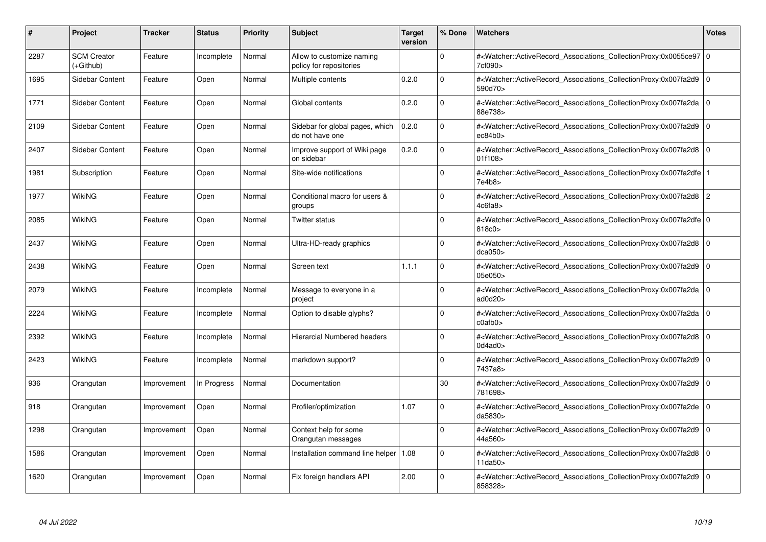| #    | Project                         | <b>Tracker</b> | <b>Status</b> | <b>Priority</b> | <b>Subject</b>                                       | <b>Target</b><br>version | % Done      | <b>Watchers</b>                                                                                                                                           | <b>Votes</b>   |
|------|---------------------------------|----------------|---------------|-----------------|------------------------------------------------------|--------------------------|-------------|-----------------------------------------------------------------------------------------------------------------------------------------------------------|----------------|
| 2287 | <b>SCM Creator</b><br>(+Github) | Feature        | Incomplete    | Normal          | Allow to customize naming<br>policy for repositories |                          | $\Omega$    | # <watcher::activerecord_associations_collectionproxy:0x0055ce97 0<br=""  ="">7cf090&gt;</watcher::activerecord_associations_collectionproxy:0x0055ce97>  |                |
| 1695 | Sidebar Content                 | Feature        | Open          | Normal          | Multiple contents                                    | 0.2.0                    | $\Omega$    | # <watcher::activerecord 0<br="" associations="" collectionproxy:0x007fa2d9=""  ="">590d70&gt;</watcher::activerecord>                                    |                |
| 1771 | Sidebar Content                 | Feature        | Open          | Normal          | Global contents                                      | 0.2.0                    | $\mathbf 0$ | # <watcher::activerecord_associations_collectionproxy:0x007fa2da<br>88e738&gt;</watcher::activerecord_associations_collectionproxy:0x007fa2da<br>         | $\mathbf 0$    |
| 2109 | Sidebar Content                 | Feature        | Open          | Normal          | Sidebar for global pages, which<br>do not have one   | 0.2.0                    | $\Omega$    | # <watcher::activerecord_associations_collectionproxy:0x007fa2d9 0<br=""  ="">ec84b0</watcher::activerecord_associations_collectionproxy:0x007fa2d9>      |                |
| 2407 | Sidebar Content                 | Feature        | Open          | Normal          | Improve support of Wiki page<br>on sidebar           | 0.2.0                    | $\Omega$    | # <watcher::activerecord associations="" collectionproxy:0x007fa2d8<br="">01f108&gt;</watcher::activerecord>                                              | $\mathbf 0$    |
| 1981 | Subscription                    | Feature        | Open          | Normal          | Site-wide notifications                              |                          | $\mathbf 0$ | # <watcher::activerecord_associations_collectionproxy:0x007fa2dfe 1<br=""  ="">7e4b8&gt;</watcher::activerecord_associations_collectionproxy:0x007fa2dfe> |                |
| 1977 | WikiNG                          | Feature        | Open          | Normal          | Conditional macro for users &<br>groups              |                          | $\Omega$    | # <watcher::activerecord_associations_collectionproxy:0x007fa2d8<br>4c6fa8&gt;</watcher::activerecord_associations_collectionproxy:0x007fa2d8<br>         | $\overline{2}$ |
| 2085 | WikiNG                          | Feature        | Open          | Normal          | Twitter status                                       |                          | $\Omega$    | # <watcher::activerecord 0<br="" associations="" collectionproxy:0x007fa2dfe="">818c0&gt;</watcher::activerecord>                                         |                |
| 2437 | <b>WikiNG</b>                   | Feature        | Open          | Normal          | Ultra-HD-ready graphics                              |                          | $\Omega$    | # <watcher::activerecord_associations_collectionproxy:0x007fa2d8<br>dca050&gt;</watcher::activerecord_associations_collectionproxy:0x007fa2d8<br>         | l 0            |
| 2438 | <b>WikiNG</b>                   | Feature        | Open          | Normal          | Screen text                                          | 1.1.1                    | $\Omega$    | # <watcher::activerecord_associations_collectionproxy:0x007fa2d9 0<br=""  ="">05e050&gt;</watcher::activerecord_associations_collectionproxy:0x007fa2d9>  |                |
| 2079 | WikiNG                          | Feature        | Incomplete    | Normal          | Message to everyone in a<br>project                  |                          | $\Omega$    | # <watcher::activerecord associations="" collectionproxy:0x007fa2da<br="">ad0d20</watcher::activerecord>                                                  | l O            |
| 2224 | WikiNG                          | Feature        | Incomplete    | Normal          | Option to disable glyphs?                            |                          | $\Omega$    | # <watcher::activerecord_associations_collectionproxy:0x007fa2da 0<br=""  ="">c0afb0&gt;</watcher::activerecord_associations_collectionproxy:0x007fa2da>  |                |
| 2392 | WikiNG                          | Feature        | Incomplete    | Normal          | <b>Hierarcial Numbered headers</b>                   |                          | $\Omega$    | # <watcher::activerecord_associations_collectionproxy:0x007fa2d8<br>0d4ad0</watcher::activerecord_associations_collectionproxy:0x007fa2d8<br>             | l 0            |
| 2423 | WikiNG                          | Feature        | Incomplete    | Normal          | markdown support?                                    |                          | $\mathbf 0$ | # <watcher::activerecord associations="" collectionproxy:0x007fa2d9<br="">7437a8&gt;</watcher::activerecord>                                              | $\Omega$       |
| 936  | Orangutan                       | Improvement    | In Progress   | Normal          | Documentation                                        |                          | 30          | # <watcher::activerecord_associations_collectionproxy:0x007fa2d9<br>781698&gt;</watcher::activerecord_associations_collectionproxy:0x007fa2d9<br>         | l 0            |
| 918  | Orangutan                       | Improvement    | Open          | Normal          | Profiler/optimization                                | 1.07                     | $\Omega$    | # <watcher::activerecord_associations_collectionproxy:0x007fa2de<br>da5830&gt;</watcher::activerecord_associations_collectionproxy:0x007fa2de<br>         | 0              |
| 1298 | Orangutan                       | Improvement    | Open          | Normal          | Context help for some<br>Orangutan messages          |                          | $\Omega$    | # <watcher::activerecord 0<br="" associations="" collectionproxy:0x007fa2d9=""  ="">44a560&gt;</watcher::activerecord>                                    |                |
| 1586 | Orangutan                       | Improvement    | Open          | Normal          | Installation command line helper                     | 1.08                     | $\Omega$    | # <watcher::activerecord associations="" collectionproxy:0x007fa2d8<br="">11da50&gt;</watcher::activerecord>                                              | l 0            |
| 1620 | Orangutan                       | Improvement    | Open          | Normal          | Fix foreign handlers API                             | 2.00                     | $\Omega$    | # <watcher::activerecord_associations_collectionproxy:0x007fa2d9 0<br=""  ="">858328&gt;</watcher::activerecord_associations_collectionproxy:0x007fa2d9>  |                |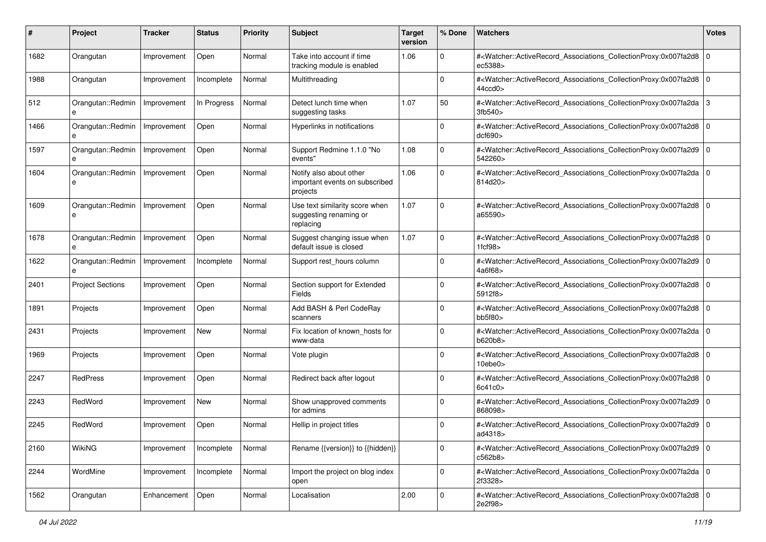| #    | Project                 | <b>Tracker</b> | <b>Status</b> | <b>Priority</b> | <b>Subject</b>                                                        | <b>Target</b><br>version | % Done      | Watchers                                                                                                                                                            | <b>Votes</b>   |
|------|-------------------------|----------------|---------------|-----------------|-----------------------------------------------------------------------|--------------------------|-------------|---------------------------------------------------------------------------------------------------------------------------------------------------------------------|----------------|
| 1682 | Orangutan               | Improvement    | Open          | Normal          | Take into account if time<br>tracking module is enabled               | 1.06                     | $\Omega$    | # <watcher::activerecord_associations_collectionproxy:0x007fa2d8 0<br=""  ="">ec5388&gt;</watcher::activerecord_associations_collectionproxy:0x007fa2d8>            |                |
| 1988 | Orangutan               | Improvement    | Incomplete    | Normal          | Multithreading                                                        |                          | 0           | # <watcher::activerecord_associations_collectionproxy:0x007fa2d8 0<br=""  ="">44ccd0</watcher::activerecord_associations_collectionproxy:0x007fa2d8>                |                |
| 512  | Orangutan::Redmin<br>e  | Improvement    | In Progress   | Normal          | Detect lunch time when<br>suggesting tasks                            | 1.07                     | 50          | # <watcher::activerecord_associations_collectionproxy:0x007fa2da 3<br="">3fb540&gt;</watcher::activerecord_associations_collectionproxy:0x007fa2da>                 |                |
| 1466 | Orangutan::Redmin<br>e  | Improvement    | Open          | Normal          | Hyperlinks in notifications                                           |                          | $\Omega$    | # <watcher::activerecord_associations_collectionproxy:0x007fa2d8 0<br=""  ="">dcf690</watcher::activerecord_associations_collectionproxy:0x007fa2d8>                |                |
| 1597 | Orangutan::Redmin<br>e  | Improvement    | Open          | Normal          | Support Redmine 1.1.0 "No<br>events"                                  | 1.08                     | $\Omega$    | # <watcher::activerecord_associations_collectionproxy:0x007fa2d9<br>542260&gt;</watcher::activerecord_associations_collectionproxy:0x007fa2d9<br>                   | $\overline{0}$ |
| 1604 | Orangutan::Redmin       | Improvement    | Open          | Normal          | Notify also about other<br>important events on subscribed<br>projects | 1.06                     | $\Omega$    | # <watcher::activerecord_associations_collectionproxy:0x007fa2da 0<br=""  ="">814d20&gt;</watcher::activerecord_associations_collectionproxy:0x007fa2da>            |                |
| 1609 | Orangutan::Redmin       | Improvement    | Open          | Normal          | Use text similarity score when<br>suggesting renaming or<br>replacing | 1.07                     | $\Omega$    | # <watcher::activerecord_associations_collectionproxy:0x007fa2d8 0<br=""  ="">a65590&gt;</watcher::activerecord_associations_collectionproxy:0x007fa2d8>            |                |
| 1678 | Orangutan::Redmin       | Improvement    | Open          | Normal          | Suggest changing issue when<br>default issue is closed                | 1.07                     | $\Omega$    | # <watcher::activerecord_associations_collectionproxy:0x007fa2d8 0<br=""  ="">1fcf98</watcher::activerecord_associations_collectionproxy:0x007fa2d8>                |                |
| 1622 | Orangutan::Redmin       | Improvement    | Incomplete    | Normal          | Support rest_hours column                                             |                          | $\Omega$    | # <watcher::activerecord_associations_collectionproxy:0x007fa2d9 0<br="">4a6f68&gt;</watcher::activerecord_associations_collectionproxy:0x007fa2d9>                 |                |
| 2401 | <b>Project Sections</b> | Improvement    | Open          | Normal          | Section support for Extended<br>Fields                                |                          | $\Omega$    | # <watcher::activerecord_associations_collectionproxy:0x007fa2d8 0<br="">5912f8&gt;</watcher::activerecord_associations_collectionproxy:0x007fa2d8>                 |                |
| 1891 | Projects                | Improvement    | Open          | Normal          | Add BASH & Perl CodeRay<br>scanners                                   |                          | $\Omega$    | # <watcher::activerecord_associations_collectionproxy:0x007fa2d8 0<br=""  ="">bb5f80</watcher::activerecord_associations_collectionproxy:0x007fa2d8>                |                |
| 2431 | Projects                | Improvement    | New           | Normal          | Fix location of known hosts for<br>www-data                           |                          | $\Omega$    | # <watcher::activerecord_associations_collectionproxy:0x007fa2da 0<br=""  ="">b620b8&gt;</watcher::activerecord_associations_collectionproxy:0x007fa2da>            |                |
| 1969 | Projects                | Improvement    | Open          | Normal          | Vote plugin                                                           |                          | 0           | # <watcher::activerecord_associations_collectionproxy:0x007fa2d8 0<br=""  ="">10ebe0<sub>&gt;</sub></watcher::activerecord_associations_collectionproxy:0x007fa2d8> |                |
| 2247 | RedPress                | Improvement    | Open          | Normal          | Redirect back after logout                                            |                          | $\Omega$    | # <watcher::activerecord_associations_collectionproxy:0x007fa2d8 0<br=""  ="">6c41c0</watcher::activerecord_associations_collectionproxy:0x007fa2d8>                |                |
| 2243 | RedWord                 | Improvement    | New           | Normal          | Show unapproved comments<br>for admins                                |                          | $\Omega$    | # <watcher::activerecord_associations_collectionproxy:0x007fa2d9 0<br=""  ="">868098&gt;</watcher::activerecord_associations_collectionproxy:0x007fa2d9>            |                |
| 2245 | RedWord                 | Improvement    | Open          | Normal          | Hellip in project titles                                              |                          | 0           | # <watcher::activerecord_associations_collectionproxy:0x007fa2d9 0<br=""  ="">ad4318&gt;</watcher::activerecord_associations_collectionproxy:0x007fa2d9>            |                |
| 2160 | WikiNG                  | Improvement    | Incomplete    | Normal          | Rename {{version}} to {{hidden}}                                      |                          | $\mathbf 0$ | # <watcher::activerecord_associations_collectionproxy:0x007fa2d9 0<br="">c562b8&gt;</watcher::activerecord_associations_collectionproxy:0x007fa2d9>                 |                |
| 2244 | WordMine                | Improvement    | Incomplete    | Normal          | Import the project on blog index<br>open                              |                          | $\Omega$    | # <watcher::activerecord 0<br="" associations="" collectionproxy:0x007fa2da="">2f3328&gt;</watcher::activerecord>                                                   |                |
| 1562 | Orangutan               | Enhancement    | Open          | Normal          | Localisation                                                          | 2.00                     | $\mathbf 0$ | # <watcher::activerecord_associations_collectionproxy:0x007fa2d8 0<br=""  ="">2e2f98&gt;</watcher::activerecord_associations_collectionproxy:0x007fa2d8>            |                |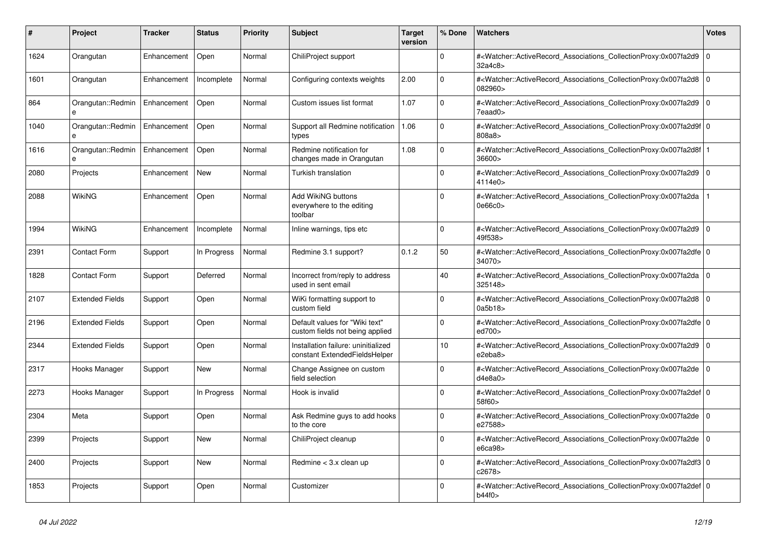| #    | Project                | <b>Tracker</b> | <b>Status</b> | <b>Priority</b> | <b>Subject</b>                                                       | <b>Target</b><br>version | % Done       | <b>Watchers</b>                                                                                                                                           | Votes       |
|------|------------------------|----------------|---------------|-----------------|----------------------------------------------------------------------|--------------------------|--------------|-----------------------------------------------------------------------------------------------------------------------------------------------------------|-------------|
| 1624 | Orangutan              | Enhancement    | Open          | Normal          | ChiliProject support                                                 |                          | $\Omega$     | # <watcher::activerecord_associations_collectionproxy:0x007fa2d9<br>32a4c8&gt;</watcher::activerecord_associations_collectionproxy:0x007fa2d9<br>         | $\mathbf 0$ |
| 1601 | Orangutan              | Enhancement    | Incomplete    | Normal          | Configuring contexts weights                                         | 2.00                     | $\Omega$     | # <watcher::activerecord_associations_collectionproxy:0x007fa2d8<br>082960&gt;</watcher::activerecord_associations_collectionproxy:0x007fa2d8<br>         | $\Omega$    |
| 864  | Orangutan::Redmin<br>e | Enhancement    | Open          | Normal          | Custom issues list format                                            | 1.07                     | 0            | # <watcher::activerecord_associations_collectionproxy:0x007fa2d9<br>7eaad0&gt;</watcher::activerecord_associations_collectionproxy:0x007fa2d9<br>         | l o         |
| 1040 | Orangutan::Redmin      | Enhancement    | Open          | Normal          | Support all Redmine notification<br>types                            | 1.06                     | $\Omega$     | # <watcher::activerecord_associations_collectionproxy:0x007fa2d9f 0<br=""  ="">808a8&gt;</watcher::activerecord_associations_collectionproxy:0x007fa2d9f> |             |
| 1616 | Orangutan::Redmin<br>e | Enhancement    | Open          | Normal          | Redmine notification for<br>changes made in Orangutan                | 1.08                     | $\Omega$     | # <watcher::activerecord associations="" collectionproxy:0x007fa2d8f<br="">36600&gt;</watcher::activerecord>                                              |             |
| 2080 | Projects               | Enhancement    | <b>New</b>    | Normal          | Turkish translation                                                  |                          | 0            | # <watcher::activerecord_associations_collectionproxy:0x007fa2d9<br>4114e0&gt;</watcher::activerecord_associations_collectionproxy:0x007fa2d9<br>         | l o         |
| 2088 | WikiNG                 | Enhancement    | Open          | Normal          | Add WikiNG buttons<br>everywhere to the editing<br>toolbar           |                          | O            | # <watcher::activerecord_associations_collectionproxy:0x007fa2da<br>0e66c0&gt;</watcher::activerecord_associations_collectionproxy:0x007fa2da<br>         |             |
| 1994 | WikiNG                 | Enhancement    | Incomplete    | Normal          | Inline warnings, tips etc                                            |                          | <sup>0</sup> | # <watcher::activerecord associations="" collectionproxy:0x007fa2d9<br="">49f538&gt;</watcher::activerecord>                                              | l o         |
| 2391 | <b>Contact Form</b>    | Support        | In Progress   | Normal          | Redmine 3.1 support?                                                 | 0.1.2                    | 50           | # <watcher::activerecord 0<br="" associations="" collectionproxy:0x007fa2dfe=""  ="">34070&gt;</watcher::activerecord>                                    |             |
| 1828 | <b>Contact Form</b>    | Support        | Deferred      | Normal          | Incorrect from/reply to address<br>used in sent email                |                          | 40           | # <watcher::activerecord_associations_collectionproxy:0x007fa2da<br>325148&gt;</watcher::activerecord_associations_collectionproxy:0x007fa2da<br>         | $\Omega$    |
| 2107 | <b>Extended Fields</b> | Support        | Open          | Normal          | WiKi formatting support to<br>custom field                           |                          | $\Omega$     | # <watcher::activerecord_associations_collectionproxy:0x007fa2d8<br>0a5b18</watcher::activerecord_associations_collectionproxy:0x007fa2d8<br>             | $\mathbf 0$ |
| 2196 | <b>Extended Fields</b> | Support        | Open          | Normal          | Default values for "Wiki text"<br>custom fields not being applied    |                          | $\Omega$     | # <watcher::activerecord 0<br="" associations="" collectionproxy:0x007fa2dfe=""  ="">ed700&gt;</watcher::activerecord>                                    |             |
| 2344 | <b>Extended Fields</b> | Support        | Open          | Normal          | Installation failure: uninitialized<br>constant ExtendedFieldsHelper |                          | 10           | # <watcher::activerecord associations="" collectionproxy:0x007fa2d9<br="">e2eba8&gt;</watcher::activerecord>                                              | $\mathbf 0$ |
| 2317 | Hooks Manager          | Support        | <b>New</b>    | Normal          | Change Assignee on custom<br>field selection                         |                          | $\Omega$     | # <watcher::activerecord_associations_collectionproxy:0x007fa2de<br>d4e8a0</watcher::activerecord_associations_collectionproxy:0x007fa2de<br>             | $\Omega$    |
| 2273 | Hooks Manager          | Support        | In Progress   | Normal          | Hook is invalid                                                      |                          | $\Omega$     | # <watcher::activerecord 0<br="" associations="" collectionproxy:0x007fa2def=""  ="">58f60&gt;</watcher::activerecord>                                    |             |
| 2304 | Meta                   | Support        | Open          | Normal          | Ask Redmine guys to add hooks<br>to the core                         |                          | 0            | # <watcher::activerecord associations="" collectionproxy:0x007fa2de<br="">e27588&gt;</watcher::activerecord>                                              | $\mathbf 0$ |
| 2399 | Projects               | Support        | New           | Normal          | ChiliProject cleanup                                                 |                          | $\Omega$     | # <watcher::activerecord_associations_collectionproxy:0x007fa2de  <br="">e6ca98</watcher::activerecord_associations_collectionproxy:0x007fa2de>           | l O         |
| 2400 | Projects               | Support        | <b>New</b>    | Normal          | Redmine < 3.x clean up                                               |                          | $\Omega$     | # <watcher::activerecord_associations_collectionproxy:0x007fa2df3 0<br=""  ="">c2678&gt;</watcher::activerecord_associations_collectionproxy:0x007fa2df3> |             |
| 1853 | Projects               | Support        | Open          | Normal          | Customizer                                                           |                          | $\Omega$     | # <watcher::activerecord 0<br="" associations="" collectionproxy:0x007fa2def=""  ="">b44f0&gt;</watcher::activerecord>                                    |             |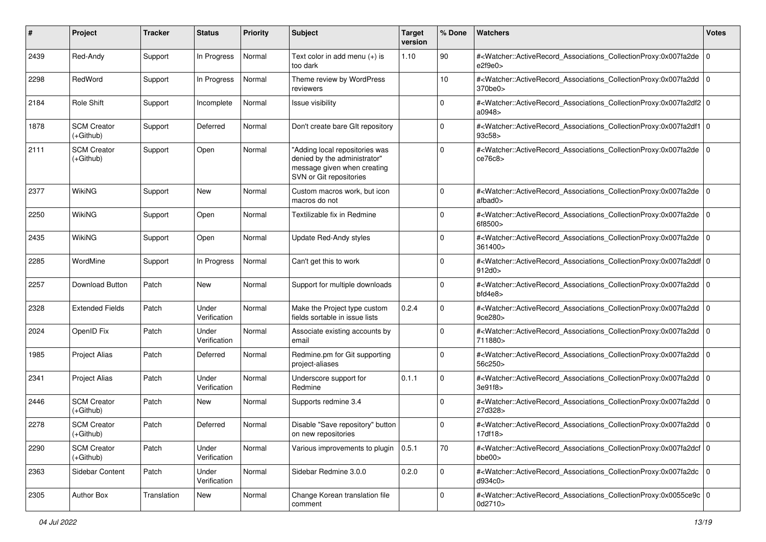| #    | Project                           | <b>Tracker</b> | <b>Status</b>         | <b>Priority</b> | <b>Subject</b>                                                                                                           | <b>Target</b><br>version | % Done      | Watchers                                                                                                                                                  | <b>Votes</b> |
|------|-----------------------------------|----------------|-----------------------|-----------------|--------------------------------------------------------------------------------------------------------------------------|--------------------------|-------------|-----------------------------------------------------------------------------------------------------------------------------------------------------------|--------------|
| 2439 | Red-Andy                          | Support        | In Progress           | Normal          | Text color in add menu $(+)$ is<br>too dark                                                                              | 1.10                     | 90          | # <watcher::activerecord_associations_collectionproxy:0x007fa2de 0<br=""  ="">e2f9e0&gt;</watcher::activerecord_associations_collectionproxy:0x007fa2de>  |              |
| 2298 | RedWord                           | Support        | In Progress           | Normal          | Theme review by WordPress<br>reviewers                                                                                   |                          | 10          | # <watcher::activerecord_associations_collectionproxy:0x007fa2dd 0<br=""  ="">370be0&gt;</watcher::activerecord_associations_collectionproxy:0x007fa2dd>  |              |
| 2184 | Role Shift                        | Support        | Incomplete            | Normal          | Issue visibility                                                                                                         |                          | $\Omega$    | # <watcher::activerecord 0<br="" associations="" collectionproxy:0x007fa2df2="">a0948&gt;</watcher::activerecord>                                         |              |
| 1878 | <b>SCM Creator</b><br>$(+Github)$ | Support        | Deferred              | Normal          | Don't create bare GIt repository                                                                                         |                          | 0           | # <watcher::activerecord_associations_collectionproxy:0x007fa2df1 0<br=""  ="">93c58&gt;</watcher::activerecord_associations_collectionproxy:0x007fa2df1> |              |
| 2111 | <b>SCM Creator</b><br>$(+Github)$ | Support        | Open                  | Normal          | "Adding local repositories was<br>denied by the administrator"<br>message given when creating<br>SVN or Git repositories |                          | $\Omega$    | # <watcher::activerecord_associations_collectionproxy:0x007fa2de 0<br=""  ="">ce76c8&gt;</watcher::activerecord_associations_collectionproxy:0x007fa2de>  |              |
| 2377 | <b>WikiNG</b>                     | Support        | New                   | Normal          | Custom macros work, but icon<br>macros do not                                                                            |                          | 0           | # <watcher::activerecord 0<br="" associations="" collectionproxy:0x007fa2de=""  ="">afbad0&gt;</watcher::activerecord>                                    |              |
| 2250 | <b>WikiNG</b>                     | Support        | Open                  | Normal          | Textilizable fix in Redmine                                                                                              |                          | $\Omega$    | # <watcher::activerecord_associations_collectionproxy:0x007fa2de 0<br=""  ="">6f8500&gt;</watcher::activerecord_associations_collectionproxy:0x007fa2de>  |              |
| 2435 | WikiNG                            | Support        | Open                  | Normal          | Update Red-Andy styles                                                                                                   |                          | $\Omega$    | # <watcher::activerecord_associations_collectionproxy:0x007fa2de<br>361400&gt;</watcher::activerecord_associations_collectionproxy:0x007fa2de<br>         | 0            |
| 2285 | WordMine                          | Support        | In Progress           | Normal          | Can't get this to work                                                                                                   |                          | $\Omega$    | # <watcher::activerecord_associations_collectionproxy:0x007fa2ddf 0<br="">912d0</watcher::activerecord_associations_collectionproxy:0x007fa2ddf>          |              |
| 2257 | Download Button                   | Patch          | New                   | Normal          | Support for multiple downloads                                                                                           |                          | $\mathbf 0$ | # <watcher::activerecord_associations_collectionproxy:0x007fa2dd 0<br=""  ="">bfd4e8</watcher::activerecord_associations_collectionproxy:0x007fa2dd>      |              |
| 2328 | <b>Extended Fields</b>            | Patch          | Under<br>Verification | Normal          | Make the Project type custom<br>fields sortable in issue lists                                                           | 0.2.4                    | $\Omega$    | # <watcher::activerecord_associations_collectionproxy:0x007fa2dd 0<br=""  ="">9ce280&gt;</watcher::activerecord_associations_collectionproxy:0x007fa2dd>  |              |
| 2024 | OpenID Fix                        | Patch          | Under<br>Verification | Normal          | Associate existing accounts by<br>email                                                                                  |                          | $\Omega$    | # <watcher::activerecord_associations_collectionproxy:0x007fa2dd 0<br=""  ="">711880&gt;</watcher::activerecord_associations_collectionproxy:0x007fa2dd>  |              |
| 1985 | <b>Project Alias</b>              | Patch          | Deferred              | Normal          | Redmine.pm for Git supporting<br>project-aliases                                                                         |                          | 0           | # <watcher::activerecord_associations_collectionproxy:0x007fa2dd 0<br="">56c250&gt;</watcher::activerecord_associations_collectionproxy:0x007fa2dd>       |              |
| 2341 | <b>Project Alias</b>              | Patch          | Under<br>Verification | Normal          | Underscore support for<br>Redmine                                                                                        | 0.1.1                    | $\mathbf 0$ | # <watcher::activerecord_associations_collectionproxy:0x007fa2dd 0<br="">3e91f8&gt;</watcher::activerecord_associations_collectionproxy:0x007fa2dd>       |              |
| 2446 | <b>SCM Creator</b><br>$(+Github)$ | Patch          | New                   | Normal          | Supports redmine 3.4                                                                                                     |                          | $\Omega$    | # <watcher::activerecord_associations_collectionproxy:0x007fa2dd 0<br=""  ="">27d328&gt;</watcher::activerecord_associations_collectionproxy:0x007fa2dd>  |              |
| 2278 | <b>SCM Creator</b><br>(+Github)   | Patch          | Deferred              | Normal          | Disable "Save repository" button<br>on new repositories                                                                  |                          | $\Omega$    | # <watcher::activerecord_associations_collectionproxy:0x007fa2dd 0<br=""  ="">17df18&gt;</watcher::activerecord_associations_collectionproxy:0x007fa2dd>  |              |
| 2290 | <b>SCM Creator</b><br>(+Github)   | Patch          | Under<br>Verification | Normal          | Various improvements to plugin $\vert 0.5.1 \rangle$                                                                     |                          | 70          | # <watcher::activerecord_associations_collectionproxy:0x007fa2dcf 0<br=""  ="">bbe00&gt;</watcher::activerecord_associations_collectionproxy:0x007fa2dcf> |              |
| 2363 | Sidebar Content                   | Patch          | Under<br>Verification | Normal          | Sidebar Redmine 3.0.0                                                                                                    | 0.2.0                    | $\mathbf 0$ | # <watcher::activerecord_associations_collectionproxy:0x007fa2dc 0<br="">d934c0&gt;</watcher::activerecord_associations_collectionproxy:0x007fa2dc>       |              |
| 2305 | Author Box                        | Translation    | New                   | Normal          | Change Korean translation file<br>comment                                                                                |                          | $\Omega$    | # <watcher::activerecord_associations_collectionproxy:0x0055ce9c 0<br=""  ="">0d2710&gt;</watcher::activerecord_associations_collectionproxy:0x0055ce9c>  |              |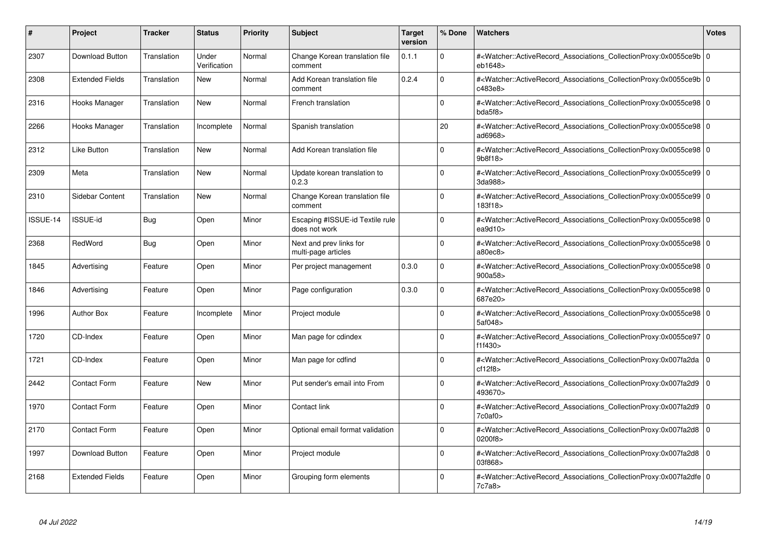| #        | <b>Project</b>         | <b>Tracker</b> | <b>Status</b>         | <b>Priority</b> | <b>Subject</b>                                   | <b>Target</b><br>version | % Done   | <b>Watchers</b>                                                                                                                                          | <b>Votes</b> |
|----------|------------------------|----------------|-----------------------|-----------------|--------------------------------------------------|--------------------------|----------|----------------------------------------------------------------------------------------------------------------------------------------------------------|--------------|
| 2307     | Download Button        | Translation    | Under<br>Verification | Normal          | Change Korean translation file<br>comment        | 0.1.1                    | $\Omega$ | # <watcher::activerecord_associations_collectionproxy:0x0055ce9b 0<br=""  ="">eb1648&gt;</watcher::activerecord_associations_collectionproxy:0x0055ce9b> |              |
| 2308     | <b>Extended Fields</b> | Translation    | New                   | Normal          | Add Korean translation file<br>comment           | 0.2.4                    | $\Omega$ | # <watcher::activerecord 0<br="" associations="" collectionproxy:0x0055ce9b=""  ="">c483e8&gt;</watcher::activerecord>                                   |              |
| 2316     | Hooks Manager          | Translation    | <b>New</b>            | Normal          | French translation                               |                          | $\Omega$ | # <watcher::activerecord_associations_collectionproxy:0x0055ce98 0<br="">bda5f8</watcher::activerecord_associations_collectionproxy:0x0055ce98>          |              |
| 2266     | Hooks Manager          | Translation    | Incomplete            | Normal          | Spanish translation                              |                          | 20       | # <watcher::activerecord_associations_collectionproxy:0x0055ce98 0<br=""  ="">ad6968&gt;</watcher::activerecord_associations_collectionproxy:0x0055ce98> |              |
| 2312     | <b>Like Button</b>     | Translation    | <b>New</b>            | Normal          | Add Korean translation file                      |                          | $\Omega$ | # <watcher::activerecord 0<br="" associations="" collectionproxy:0x0055ce98="">9b8f18</watcher::activerecord>                                            |              |
| 2309     | Meta                   | Translation    | New                   | Normal          | Update korean translation to<br>0.2.3            |                          | $\Omega$ | # <watcher::activerecord_associations_collectionproxy:0x0055ce99 0<br=""  ="">3da988&gt;</watcher::activerecord_associations_collectionproxy:0x0055ce99> |              |
| 2310     | Sidebar Content        | Translation    | <b>New</b>            | Normal          | Change Korean translation file<br>comment        |                          | $\Omega$ | # <watcher::activerecord_associations_collectionproxy:0x0055ce99 0<br=""  ="">183f18</watcher::activerecord_associations_collectionproxy:0x0055ce99>     |              |
| ISSUE-14 | ISSUE-id               | Bug            | Open                  | Minor           | Escaping #ISSUE-id Textile rule<br>does not work |                          | $\Omega$ | # <watcher::activerecord 0<br="" associations="" collectionproxy:0x0055ce98=""  ="">ea<math>9d10</math></watcher::activerecord>                          |              |
| 2368     | RedWord                | Bug            | Open                  | Minor           | Next and prev links for<br>multi-page articles   |                          | $\Omega$ | # <watcher::activerecord_associations_collectionproxy:0x0055ce98 0<br=""  ="">a80ec8</watcher::activerecord_associations_collectionproxy:0x0055ce98>     |              |
| 1845     | Advertising            | Feature        | Open                  | Minor           | Per project management                           | 0.3.0                    | $\Omega$ | # <watcher::activerecord_associations_collectionproxy:0x0055ce98 0<br=""  ="">900a58&gt;</watcher::activerecord_associations_collectionproxy:0x0055ce98> |              |
| 1846     | Advertising            | Feature        | Open                  | Minor           | Page configuration                               | 0.3.0                    | $\Omega$ | # <watcher::activerecord 0<br="" associations="" collectionproxy:0x0055ce98=""  ="">687e20&gt;</watcher::activerecord>                                   |              |
| 1996     | <b>Author Box</b>      | Feature        | Incomplete            | Minor           | Project module                                   |                          | $\Omega$ | # <watcher::activerecord_associations_collectionproxy:0x0055ce98 0<br=""  ="">5af048&gt;</watcher::activerecord_associations_collectionproxy:0x0055ce98> |              |
| 1720     | CD-Index               | Feature        | Open                  | Minor           | Man page for cdindex                             |                          | $\Omega$ | # <watcher::activerecord_associations_collectionproxy:0x0055ce97 0<br=""  ="">f1f430&gt;</watcher::activerecord_associations_collectionproxy:0x0055ce97> |              |
| 1721     | CD-Index               | Feature        | Open                  | Minor           | Man page for cdfind                              |                          | $\Omega$ | # <watcher::activerecord associations="" collectionproxy:0x007fa2da<br="">cf12f8</watcher::activerecord>                                                 | $\mathbf 0$  |
| 2442     | <b>Contact Form</b>    | Feature        | New                   | Minor           | Put sender's email into From                     |                          | $\Omega$ | # <watcher::activerecord_associations_collectionproxy:0x007fa2d9 0<br=""  ="">493670&gt;</watcher::activerecord_associations_collectionproxy:0x007fa2d9> |              |
| 1970     | <b>Contact Form</b>    | Feature        | Open                  | Minor           | Contact link                                     |                          | $\Omega$ | # <watcher::activerecord_associations_collectionproxy:0x007fa2d9<br>7c0af0</watcher::activerecord_associations_collectionproxy:0x007fa2d9<br>            | $\Omega$     |
| 2170     | <b>Contact Form</b>    | Feature        | Open                  | Minor           | Optional email format validation                 |                          | $\Omega$ | # <watcher::activerecord 0<br="" associations="" collectionproxy:0x007fa2d8=""  ="">0200f8&gt;</watcher::activerecord>                                   |              |
| 1997     | Download Button        | Feature        | Open                  | Minor           | Project module                                   |                          | $\Omega$ | # <watcher::activerecord associations="" collectionproxy:0x007fa2d8<br="">03f868&gt;</watcher::activerecord>                                             | $\mathbf 0$  |
| 2168     | <b>Extended Fields</b> | Feature        | Open                  | Minor           | Grouping form elements                           |                          | $\Omega$ | # <watcher::activerecord 0<br="" associations="" collectionproxy:0x007fa2dfe=""  ="">7c7a8&gt;</watcher::activerecord>                                   |              |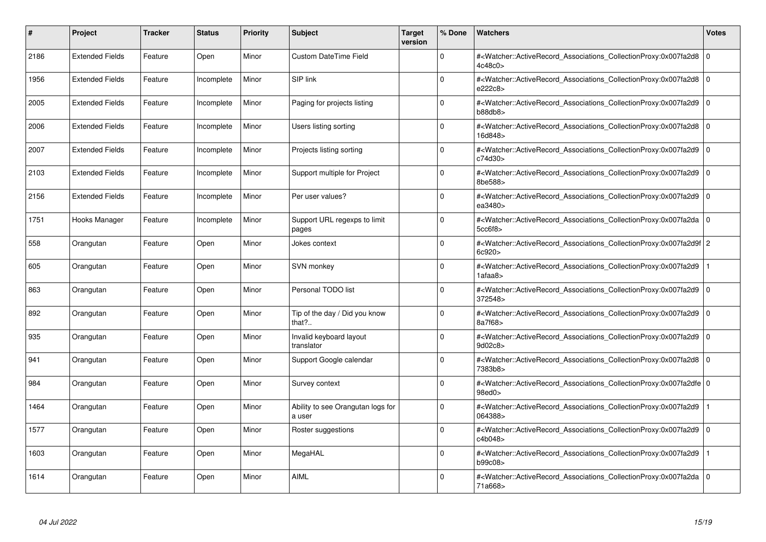| #    | <b>Project</b>         | <b>Tracker</b> | <b>Status</b> | <b>Priority</b> | <b>Subject</b>                              | <b>Target</b><br>version | % Done   | <b>Watchers</b>                                                                                                                                          | <b>Votes</b> |
|------|------------------------|----------------|---------------|-----------------|---------------------------------------------|--------------------------|----------|----------------------------------------------------------------------------------------------------------------------------------------------------------|--------------|
| 2186 | <b>Extended Fields</b> | Feature        | Open          | Minor           | <b>Custom DateTime Field</b>                |                          | $\Omega$ | # <watcher::activerecord_associations_collectionproxy:0x007fa2d8  <br="">4c48c0</watcher::activerecord_associations_collectionproxy:0x007fa2d8>          | $\mathbf 0$  |
| 1956 | <b>Extended Fields</b> | Feature        | Incomplete    | Minor           | SIP link                                    |                          | $\Omega$ | # <watcher::activerecord 0<br="" associations="" collectionproxy:0x007fa2d8=""  ="">e222c8&gt;</watcher::activerecord>                                   |              |
| 2005 | <b>Extended Fields</b> | Feature        | Incomplete    | Minor           | Paging for projects listing                 |                          | $\Omega$ | # <watcher::activerecord_associations_collectionproxy:0x007fa2d9<br>b88db8</watcher::activerecord_associations_collectionproxy:0x007fa2d9<br>            | $\mathbf 0$  |
| 2006 | <b>Extended Fields</b> | Feature        | Incomplete    | Minor           | Users listing sorting                       |                          | $\Omega$ | # <watcher::activerecord_associations_collectionproxy:0x007fa2d8 0<br=""  ="">16d848&gt;</watcher::activerecord_associations_collectionproxy:0x007fa2d8> |              |
| 2007 | <b>Extended Fields</b> | Feature        | Incomplete    | Minor           | Projects listing sorting                    |                          | $\Omega$ | # <watcher::activerecord associations="" collectionproxy:0x007fa2d9<br="">c74d30&gt;</watcher::activerecord>                                             | $\mathbf 0$  |
| 2103 | <b>Extended Fields</b> | Feature        | Incomplete    | Minor           | Support multiple for Project                |                          | $\Omega$ | # <watcher::activerecord associations="" collectionproxy:0x007fa2d9<br="">8be588&gt;</watcher::activerecord>                                             | $\mathbf 0$  |
| 2156 | <b>Extended Fields</b> | Feature        | Incomplete    | Minor           | Per user values?                            |                          | $\Omega$ | # <watcher::activerecord_associations_collectionproxy:0x007fa2d9  <br="">ea3480&gt;</watcher::activerecord_associations_collectionproxy:0x007fa2d9>      | $\mathbf 0$  |
| 1751 | Hooks Manager          | Feature        | Incomplete    | Minor           | Support URL regexps to limit<br>pages       |                          | $\Omega$ | # <watcher::activerecord_associations_collectionproxy:0x007fa2da 0<br=""  ="">5cc6f8</watcher::activerecord_associations_collectionproxy:0x007fa2da>     |              |
| 558  | Orangutan              | Feature        | Open          | Minor           | Jokes context                               |                          | $\Omega$ | # <watcher::activerecord 2<br="" associations="" collectionproxy:0x007fa2d9f="">6c920&gt;</watcher::activerecord>                                        |              |
| 605  | Orangutan              | Feature        | Open          | Minor           | SVN monkey                                  |                          | $\Omega$ | # <watcher::activerecord associations="" collectionproxy:0x007fa2d9<br="">1afaa8&gt;</watcher::activerecord>                                             |              |
| 863  | Orangutan              | Feature        | Open          | Minor           | Personal TODO list                          |                          | $\Omega$ | # <watcher::activerecord_associations_collectionproxy:0x007fa2d9 0<br=""  ="">372548&gt;</watcher::activerecord_associations_collectionproxy:0x007fa2d9> |              |
| 892  | Orangutan              | Feature        | Open          | Minor           | Tip of the day / Did you know<br>that?      |                          | $\Omega$ | # <watcher::activerecord_associations_collectionproxy:0x007fa2d9  <br="">8a7f68&gt;</watcher::activerecord_associations_collectionproxy:0x007fa2d9>      | $\mathbf 0$  |
| 935  | Orangutan              | Feature        | Open          | Minor           | Invalid keyboard layout<br>translator       |                          | $\Omega$ | # <watcher::activerecord 0<br="" associations="" collectionproxy:0x007fa2d9=""  ="">9d02c8&gt;</watcher::activerecord>                                   |              |
| 941  | Orangutan              | Feature        | Open          | Minor           | Support Google calendar                     |                          | 0        | # <watcher::activerecord_associations_collectionproxy:0x007fa2d8  <br="">7383b8&gt;</watcher::activerecord_associations_collectionproxy:0x007fa2d8>      | $\mathbf 0$  |
| 984  | Orangutan              | Feature        | Open          | Minor           | Survey context                              |                          | $\Omega$ | # <watcher::activerecord_associations_collectionproxy:0x007fa2dfe 0<br=""  ="">98ed0</watcher::activerecord_associations_collectionproxy:0x007fa2dfe>    |              |
| 1464 | Orangutan              | Feature        | Open          | Minor           | Ability to see Orangutan logs for<br>a user |                          | $\Omega$ | # <watcher::activerecord associations="" collectionproxy:0x007fa2d9<br="">064388&gt;</watcher::activerecord>                                             |              |
| 1577 | Orangutan              | Feature        | Open          | Minor           | Roster suggestions                          |                          | $\Omega$ | # <watcher::activerecord associations="" collectionproxy:0x007fa2d9<br="">c4b048&gt;</watcher::activerecord>                                             | $\mathbf 0$  |
| 1603 | Orangutan              | Feature        | Open          | Minor           | MegaHAL                                     |                          | $\Omega$ | # <watcher::activerecord_associations_collectionproxy:0x007fa2d9<br>b99c08&gt;</watcher::activerecord_associations_collectionproxy:0x007fa2d9<br>        |              |
| 1614 | Orangutan              | Feature        | Open          | Minor           | AIML                                        |                          | $\Omega$ | # <watcher::activerecord_associations_collectionproxy:0x007fa2da 0<br=""  ="">71a668&gt;</watcher::activerecord_associations_collectionproxy:0x007fa2da> |              |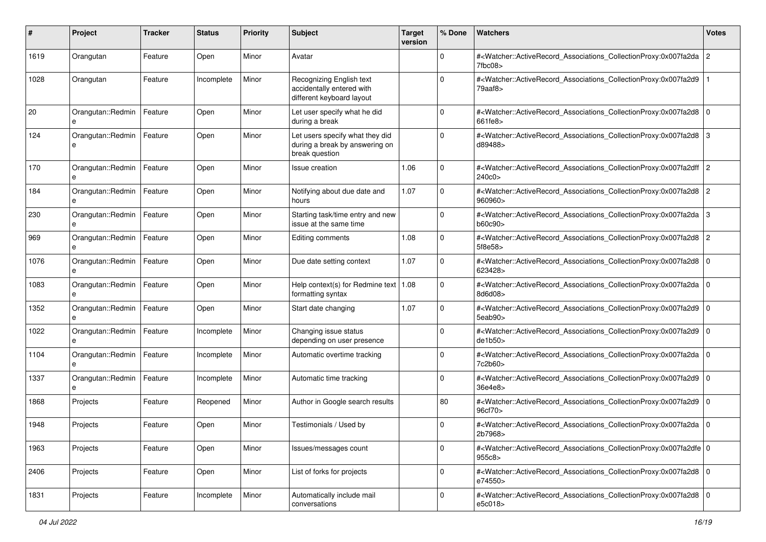| #    | Project                | <b>Tracker</b> | <b>Status</b> | <b>Priority</b> | <b>Subject</b>                                                                      | <b>Target</b><br>version | % Done      | Watchers                                                                                                                                                     | <b>Votes</b>   |
|------|------------------------|----------------|---------------|-----------------|-------------------------------------------------------------------------------------|--------------------------|-------------|--------------------------------------------------------------------------------------------------------------------------------------------------------------|----------------|
| 1619 | Orangutan              | Feature        | Open          | Minor           | Avatar                                                                              |                          | 0           | # <watcher::activerecord associations="" collectionproxy:0x007fa2da<br="">7fbc08</watcher::activerecord>                                                     | $\overline{2}$ |
| 1028 | Orangutan              | Feature        | Incomplete    | Minor           | Recognizing English text<br>accidentally entered with<br>different keyboard layout  |                          | ŋ           | # <watcher::activerecord_associations_collectionproxy:0x007fa2d9<br>79aaf8&gt;</watcher::activerecord_associations_collectionproxy:0x007fa2d9<br>            |                |
| 20   | Orangutan::Redmin<br>e | Feature        | Open          | Minor           | Let user specify what he did<br>during a break                                      |                          | $\Omega$    | # <watcher::activerecord_associations_collectionproxy:0x007fa2d8 0<br=""  ="">661fe8&gt;</watcher::activerecord_associations_collectionproxy:0x007fa2d8>     |                |
| 124  | Orangutan::Redmin<br>е | Feature        | Open          | Minor           | Let users specify what they did<br>during a break by answering on<br>break question |                          | $\Omega$    | # <watcher::activerecord_associations_collectionproxy:0x007fa2d8 3<br="">d89488&gt;</watcher::activerecord_associations_collectionproxy:0x007fa2d8>          |                |
| 170  | Orangutan::Redmin<br>e | Feature        | Open          | Minor           | Issue creation                                                                      | 1.06                     | 0           | # <watcher::activerecord_associations_collectionproxy:0x007fa2dff 2<br="">240c0&gt;</watcher::activerecord_associations_collectionproxy:0x007fa2dff>         |                |
| 184  | Orangutan::Redmin<br>e | Feature        | Open          | Minor           | Notifying about due date and<br>hours                                               | 1.07                     | 0           | # <watcher::activerecord_associations_collectionproxy:0x007fa2d8<br>960960&gt;</watcher::activerecord_associations_collectionproxy:0x007fa2d8<br>            | l 2            |
| 230  | Orangutan::Redmin<br>e | Feature        | Open          | Minor           | Starting task/time entry and new<br>issue at the same time                          |                          | $\Omega$    | # <watcher::activerecord_associations_collectionproxy:0x007fa2da 3<br="">b60c90&gt;</watcher::activerecord_associations_collectionproxy:0x007fa2da>          |                |
| 969  | Orangutan::Redmin      | Feature        | Open          | Minor           | Editing comments                                                                    | 1.08                     | $\Omega$    | # <watcher::activerecord_associations_collectionproxy:0x007fa2d8<br>5f8e58&gt;</watcher::activerecord_associations_collectionproxy:0x007fa2d8<br>            | 2              |
| 1076 | Orangutan::Redmin      | Feature        | Open          | Minor           | Due date setting context                                                            | 1.07                     | $\mathbf 0$ | # <watcher::activerecord_associations_collectionproxy:0x007fa2d8 0<br=""  ="">623428&gt;</watcher::activerecord_associations_collectionproxy:0x007fa2d8>     |                |
| 1083 | Orangutan::Redmin<br>e | Feature        | Open          | Minor           | Help context(s) for Redmine text   $1.08$<br>formatting syntax                      |                          | $\Omega$    | # <watcher::activerecord_associations_collectionproxy:0x007fa2da<br>8d6d08&gt;</watcher::activerecord_associations_collectionproxy:0x007fa2da<br>            |                |
| 1352 | Orangutan::Redmin      | Feature        | Open          | Minor           | Start date changing                                                                 | 1.07                     | $\Omega$    | # <watcher::activerecord_associations_collectionproxy:0x007fa2d9<br>5eab90<sub>&gt;</sub></watcher::activerecord_associations_collectionproxy:0x007fa2d9<br> | 10             |
| 1022 | Orangutan::Redmin<br>е | Feature        | Incomplete    | Minor           | Changing issue status<br>depending on user presence                                 |                          | $\Omega$    | # <watcher::activerecord_associations_collectionproxy:0x007fa2d9 0<br=""  ="">de1b50&gt;</watcher::activerecord_associations_collectionproxy:0x007fa2d9>     |                |
| 1104 | Orangutan::Redmin<br>e | Feature        | Incomplete    | Minor           | Automatic overtime tracking                                                         |                          | $\Omega$    | # <watcher::activerecord_associations_collectionproxy:0x007fa2da<br>7c2b60&gt;</watcher::activerecord_associations_collectionproxy:0x007fa2da<br>            | l O            |
| 1337 | Orangutan::Redmin<br>e | Feature        | Incomplete    | Minor           | Automatic time tracking                                                             |                          | $\mathbf 0$ | # <watcher::activerecord_associations_collectionproxy:0x007fa2d9 0<br=""  ="">36e4e8&gt;</watcher::activerecord_associations_collectionproxy:0x007fa2d9>     |                |
| 1868 | Projects               | Feature        | Reopened      | Minor           | Author in Google search results                                                     |                          | 80          | # <watcher::activerecord_associations_collectionproxy:0x007fa2d9 0<br=""  ="">96cf70&gt;</watcher::activerecord_associations_collectionproxy:0x007fa2d9>     |                |
| 1948 | Projects               | Feature        | Open          | Minor           | Testimonials / Used by                                                              |                          | $\Omega$    | # <watcher::activerecord_associations_collectionproxy:0x007fa2da 0<br=""  ="">2b7968&gt;</watcher::activerecord_associations_collectionproxy:0x007fa2da>     |                |
| 1963 | Projects               | Feature        | Open          | Minor           | Issues/messages count                                                               |                          | $\mathbf 0$ | # <watcher::activerecord_associations_collectionproxy:0x007fa2dfe 0<br=""  ="">955c8&gt;</watcher::activerecord_associations_collectionproxy:0x007fa2dfe>    |                |
| 2406 | Projects               | Feature        | Open          | Minor           | List of forks for projects                                                          |                          | $\mathbf 0$ | # <watcher::activerecord_associations_collectionproxy:0x007fa2d8 0<br="">e74550&gt;</watcher::activerecord_associations_collectionproxy:0x007fa2d8>          |                |
| 1831 | Projects               | Feature        | Incomplete    | Minor           | Automatically include mail<br>conversations                                         |                          | $\mathbf 0$ | # <watcher::activerecord_associations_collectionproxy:0x007fa2d8 0<br=""  ="">e5c018&gt;</watcher::activerecord_associations_collectionproxy:0x007fa2d8>     |                |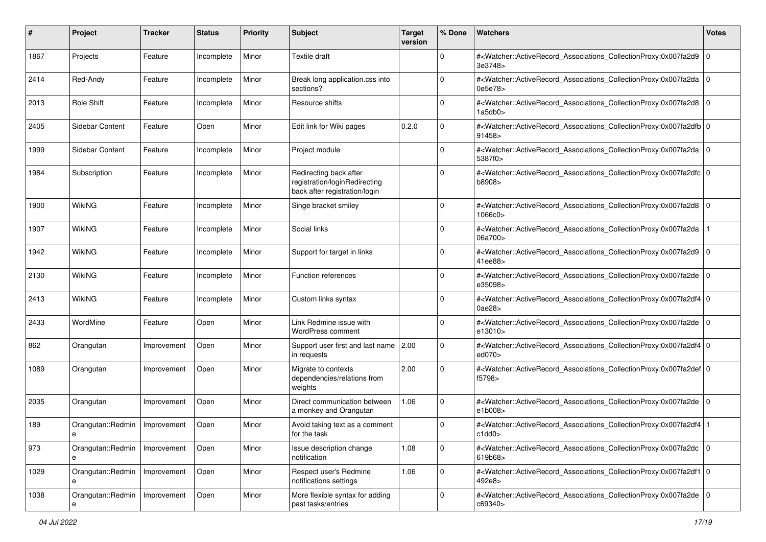| #    | Project                | <b>Tracker</b> | <b>Status</b> | <b>Priority</b> | <b>Subject</b>                                                                           | <b>Target</b><br>version | % Done      | Watchers                                                                                                                                                  | <b>Votes</b> |
|------|------------------------|----------------|---------------|-----------------|------------------------------------------------------------------------------------------|--------------------------|-------------|-----------------------------------------------------------------------------------------------------------------------------------------------------------|--------------|
| 1867 | Projects               | Feature        | Incomplete    | Minor           | Textile draft                                                                            |                          | $\mathbf 0$ | # <watcher::activerecord_associations_collectionproxy:0x007fa2d9<br>3e3748&gt;</watcher::activerecord_associations_collectionproxy:0x007fa2d9<br>         | l O          |
| 2414 | Red-Andy               | Feature        | Incomplete    | Minor           | Break long application.css into<br>sections?                                             |                          | $\Omega$    | # <watcher::activerecord_associations_collectionproxy:0x007fa2da 0<br=""  ="">0e5e78&gt;</watcher::activerecord_associations_collectionproxy:0x007fa2da>  |              |
| 2013 | Role Shift             | Feature        | Incomplete    | Minor           | Resource shifts                                                                          |                          | 0           | # <watcher::activerecord_associations_collectionproxy:0x007fa2d8 0<br=""  ="">1a5db0&gt;</watcher::activerecord_associations_collectionproxy:0x007fa2d8>  |              |
| 2405 | Sidebar Content        | Feature        | Open          | Minor           | Edit link for Wiki pages                                                                 | 0.2.0                    | 0           | # <watcher::activerecord_associations_collectionproxy:0x007fa2dfb 0<br=""  ="">91458&gt;</watcher::activerecord_associations_collectionproxy:0x007fa2dfb> |              |
| 1999 | Sidebar Content        | Feature        | Incomplete    | Minor           | Project module                                                                           |                          | $\Omega$    | # <watcher::activerecord_associations_collectionproxy:0x007fa2da 0<br=""  ="">5387f0&gt;</watcher::activerecord_associations_collectionproxy:0x007fa2da>  |              |
| 1984 | Subscription           | Feature        | Incomplete    | Minor           | Redirecting back after<br>registration/loginRedirecting<br>back after registration/login |                          | $\Omega$    | # <watcher::activerecord_associations_collectionproxy:0x007fa2dfc 0<br=""  ="">b8908&gt;</watcher::activerecord_associations_collectionproxy:0x007fa2dfc> |              |
| 1900 | <b>WikiNG</b>          | Feature        | Incomplete    | Minor           | Singe bracket smiley                                                                     |                          | $\Omega$    | # <watcher::activerecord_associations_collectionproxy:0x007fa2d8 0<br=""  ="">1066c0&gt;</watcher::activerecord_associations_collectionproxy:0x007fa2d8>  |              |
| 1907 | <b>WikiNG</b>          | Feature        | Incomplete    | Minor           | Social links                                                                             |                          | $\Omega$    | # <watcher::activerecord_associations_collectionproxy:0x007fa2da<br>06a700&gt;</watcher::activerecord_associations_collectionproxy:0x007fa2da<br>         |              |
| 1942 | <b>WikiNG</b>          | Feature        | Incomplete    | Minor           | Support for target in links                                                              |                          | $\mathbf 0$ | # <watcher::activerecord_associations_collectionproxy:0x007fa2d9<br>41ee88&gt;</watcher::activerecord_associations_collectionproxy:0x007fa2d9<br>         | l O          |
| 2130 | <b>WikiNG</b>          | Feature        | Incomplete    | Minor           | <b>Function references</b>                                                               |                          | $\Omega$    | # <watcher::activerecord_associations_collectionproxy:0x007fa2de 0<br=""  ="">e35098&gt;</watcher::activerecord_associations_collectionproxy:0x007fa2de>  |              |
| 2413 | <b>WikiNG</b>          | Feature        | Incomplete    | Minor           | Custom links syntax                                                                      |                          | $\Omega$    | # <watcher::activerecord_associations_collectionproxy:0x007fa2df4 0<br=""  ="">0ae28&gt;</watcher::activerecord_associations_collectionproxy:0x007fa2df4> |              |
| 2433 | WordMine               | Feature        | Open          | Minor           | Link Redmine issue with<br><b>WordPress comment</b>                                      |                          | $\Omega$    | # <watcher::activerecord_associations_collectionproxy:0x007fa2de 0<br=""  ="">e13010&gt;</watcher::activerecord_associations_collectionproxy:0x007fa2de>  |              |
| 862  | Orangutan              | Improvement    | Open          | Minor           | Support user first and last name<br>in requests                                          | 2.00                     | $\mathbf 0$ | # <watcher::activerecord_associations_collectionproxy:0x007fa2df4 0<br="">ed070&gt;</watcher::activerecord_associations_collectionproxy:0x007fa2df4>      |              |
| 1089 | Orangutan              | Improvement    | Open          | Minor           | Migrate to contexts<br>dependencies/relations from<br>weights                            | 2.00                     | $\Omega$    | # <watcher::activerecord_associations_collectionproxy:0x007fa2def 0<br=""  ="">f5798&gt;</watcher::activerecord_associations_collectionproxy:0x007fa2def> |              |
| 2035 | Orangutan              | Improvement    | Open          | Minor           | Direct communication between<br>a monkey and Orangutan                                   | 1.06                     | 0           | # <watcher::activerecord_associations_collectionproxy:0x007fa2de 0<br=""  ="">e1b008&gt;</watcher::activerecord_associations_collectionproxy:0x007fa2de>  |              |
| 189  | Orangutan::Redmin<br>е | Improvement    | Open          | Minor           | Avoid taking text as a comment<br>for the task                                           |                          | 0           | # <watcher::activerecord_associations_collectionproxy:0x007fa2df4 1<br=""  ="">c1dd0&gt;</watcher::activerecord_associations_collectionproxy:0x007fa2df4> |              |
| 973  | Orangutan::Redmin<br>е | Improvement    | Open          | Minor           | Issue description change<br>notification                                                 | 1.08                     | $\mathbf 0$ | # <watcher::activerecord_associations_collectionproxy:0x007fa2dc<br>619b68&gt;</watcher::activerecord_associations_collectionproxy:0x007fa2dc<br>         | l O          |
| 1029 | Orangutan::Redmin<br>е | Improvement    | Open          | Minor           | Respect user's Redmine<br>notifications settings                                         | 1.06                     | $\mathbf 0$ | # <watcher::activerecord_associations_collectionproxy:0x007fa2df1 0<br="">492e8&gt;</watcher::activerecord_associations_collectionproxy:0x007fa2df1>      |              |
| 1038 | Orangutan::Redmin      | Improvement    | Open          | Minor           | More flexible syntax for adding<br>past tasks/entries                                    |                          | $\mathbf 0$ | # <watcher::activerecord_associations_collectionproxy:0x007fa2de 0<br=""  ="">c69340&gt;</watcher::activerecord_associations_collectionproxy:0x007fa2de>  |              |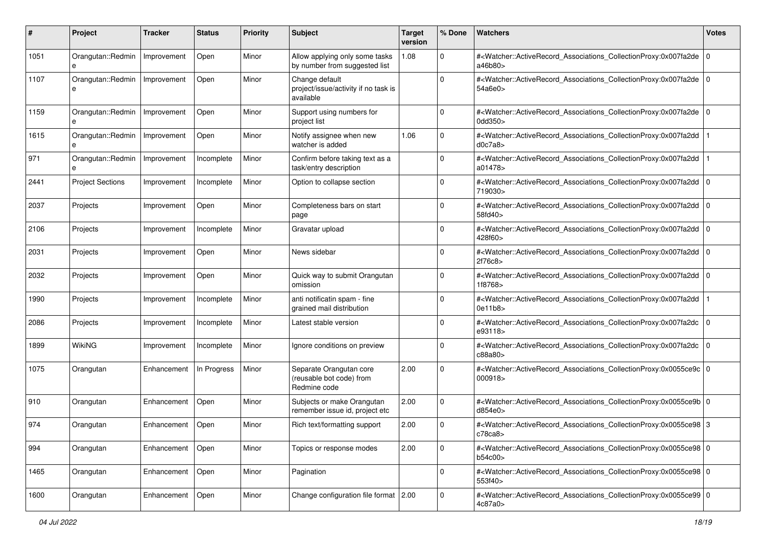| #    | Project                 | <b>Tracker</b> | <b>Status</b> | <b>Priority</b> | <b>Subject</b>                                                      | <b>Target</b><br>version | % Done      | <b>Watchers</b>                                                                                                                                          | <b>Votes</b> |
|------|-------------------------|----------------|---------------|-----------------|---------------------------------------------------------------------|--------------------------|-------------|----------------------------------------------------------------------------------------------------------------------------------------------------------|--------------|
| 1051 | Orangutan::Redmin<br>e  | Improvement    | Open          | Minor           | Allow applying only some tasks<br>by number from suggested list     | 1.08                     | 0           | # <watcher::activerecord_associations_collectionproxy:0x007fa2de 0<br=""  ="">a46b80&gt;</watcher::activerecord_associations_collectionproxy:0x007fa2de> |              |
| 1107 | Orangutan::Redmin<br>e  | Improvement    | Open          | Minor           | Change default<br>project/issue/activity if no task is<br>available |                          | $\Omega$    | # <watcher::activerecord_associations_collectionproxy:0x007fa2de 0<br="">54a6e0&gt;</watcher::activerecord_associations_collectionproxy:0x007fa2de>      |              |
| 1159 | Orangutan::Redmin<br>e  | Improvement    | Open          | Minor           | Support using numbers for<br>project list                           |                          | 0           | # <watcher::activerecord_associations_collectionproxy:0x007fa2de 0<br=""  ="">0dd350&gt;</watcher::activerecord_associations_collectionproxy:0x007fa2de> |              |
| 1615 | Orangutan::Redmin<br>e  | Improvement    | Open          | Minor           | Notify assignee when new<br>watcher is added                        | 1.06                     | 0           | # <watcher::activerecord_associations_collectionproxy:0x007fa2dd<br>d0c7a8</watcher::activerecord_associations_collectionproxy:0x007fa2dd<br>            |              |
| 971  | Orangutan::Redmin<br>e  | Improvement    | Incomplete    | Minor           | Confirm before taking text as a<br>task/entry description           |                          | $\Omega$    | # <watcher::activerecord_associations_collectionproxy:0x007fa2dd<br>a01478&gt;</watcher::activerecord_associations_collectionproxy:0x007fa2dd<br>        |              |
| 2441 | <b>Project Sections</b> | Improvement    | Incomplete    | Minor           | Option to collapse section                                          |                          | $\Omega$    | # <watcher::activerecord_associations_collectionproxy:0x007fa2dd 0<br=""  ="">719030&gt;</watcher::activerecord_associations_collectionproxy:0x007fa2dd> |              |
| 2037 | Projects                | Improvement    | Open          | Minor           | Completeness bars on start<br>page                                  |                          | $\Omega$    | # <watcher::activerecord_associations_collectionproxy:0x007fa2dd 0<br="">58fd40&gt;</watcher::activerecord_associations_collectionproxy:0x007fa2dd>      |              |
| 2106 | Projects                | Improvement    | Incomplete    | Minor           | Gravatar upload                                                     |                          | $\Omega$    | # <watcher::activerecord_associations_collectionproxy:0x007fa2dd 0<br="">428f60&gt;</watcher::activerecord_associations_collectionproxy:0x007fa2dd>      |              |
| 2031 | Projects                | Improvement    | Open          | Minor           | News sidebar                                                        |                          | $\mathbf 0$ | # <watcher::activerecord_associations_collectionproxy:0x007fa2dd 0<br=""  ="">2f76c8&gt;</watcher::activerecord_associations_collectionproxy:0x007fa2dd> |              |
| 2032 | Projects                | Improvement    | Open          | Minor           | Quick way to submit Orangutan<br>omission                           |                          | $\mathbf 0$ | # <watcher::activerecord_associations_collectionproxy:0x007fa2dd 0<br=""  ="">1f8768&gt;</watcher::activerecord_associations_collectionproxy:0x007fa2dd> |              |
| 1990 | Projects                | Improvement    | Incomplete    | Minor           | anti notificatin spam - fine<br>grained mail distribution           |                          | 0           | # <watcher::activerecord_associations_collectionproxy:0x007fa2dd<br>0e11b8&gt;</watcher::activerecord_associations_collectionproxy:0x007fa2dd<br>        |              |
| 2086 | Projects                | Improvement    | Incomplete    | Minor           | Latest stable version                                               |                          | 0           | # <watcher::activerecord_associations_collectionproxy:0x007fa2dc<br>e93118&gt;</watcher::activerecord_associations_collectionproxy:0x007fa2dc<br>        | $\mathbf 0$  |
| 1899 | <b>WikiNG</b>           | Improvement    | Incomplete    | Minor           | Ignore conditions on preview                                        |                          | 0           | # <watcher::activerecord_associations_collectionproxy:0x007fa2dc<br>c88a80&gt;</watcher::activerecord_associations_collectionproxy:0x007fa2dc<br>        | $\mathbf 0$  |
| 1075 | Orangutan               | Enhancement    | In Progress   | Minor           | Separate Orangutan core<br>(reusable bot code) from<br>Redmine code | 2.00                     | $\Omega$    | # <watcher::activerecord_associations_collectionproxy:0x0055ce9c 0<br="">000918&gt;</watcher::activerecord_associations_collectionproxy:0x0055ce9c>      |              |
| 910  | Orangutan               | Enhancement    | Open          | Minor           | Subjects or make Orangutan<br>remember issue id, project etc        | 2.00                     | $\Omega$    | # <watcher::activerecord_associations_collectionproxy:0x0055ce9b 0<br="">d854e0&gt;</watcher::activerecord_associations_collectionproxy:0x0055ce9b>      |              |
| 974  | Orangutan               | Enhancement    | Open          | Minor           | Rich text/formatting support                                        | 2.00                     | $\Omega$    | # <watcher::activerecord_associations_collectionproxy:0x0055ce98 3<br="">c78ca8&gt;</watcher::activerecord_associations_collectionproxy:0x0055ce98>      |              |
| 994  | Orangutan               | Enhancement    | Open          | Minor           | Topics or response modes                                            | 2.00                     | 0           | # <watcher::activerecord 0<br="" associations="" collectionproxy:0x0055ce98="">b54c00&gt;</watcher::activerecord>                                        |              |
| 1465 | Orangutan               | Enhancement    | Open          | Minor           | Pagination                                                          |                          | $\mathbf 0$ | # <watcher::activerecord_associations_collectionproxy:0x0055ce98 0<br="">553f40&gt;</watcher::activerecord_associations_collectionproxy:0x0055ce98>      |              |
| 1600 | Orangutan               | Enhancement    | Open          | Minor           | Change configuration file format 2.00                               |                          | $\mathbf 0$ | # <watcher::activerecord 0<br="" associations="" collectionproxy:0x0055ce99="">4c87a0&gt;</watcher::activerecord>                                        |              |